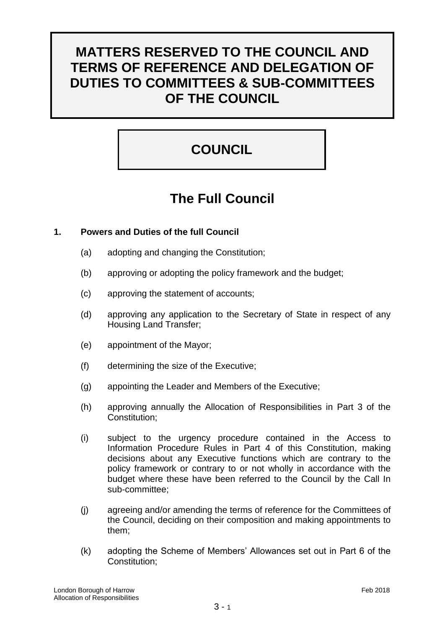# **MATTERS RESERVED TO THE COUNCIL AND TERMS OF REFERENCE AND DELEGATION OF DUTIES TO COMMITTEES & SUB-COMMITTEES OF THE COUNCIL**

# **COUNCIL**

# **The Full Council**

# **1. Powers and Duties of the full Council**

- (a) adopting and changing the Constitution;
- (b) approving or adopting the policy framework and the budget;
- (c) approving the statement of accounts;
- (d) approving any application to the Secretary of State in respect of any Housing Land Transfer;
- (e) appointment of the Mayor;
- (f) determining the size of the Executive;
- (g) appointing the Leader and Members of the Executive;
- (h) approving annually the Allocation of Responsibilities in Part 3 of the Constitution;
- (i) subject to the urgency procedure contained in the Access to Information Procedure Rules in Part 4 of this Constitution, making decisions about any Executive functions which are contrary to the policy framework or contrary to or not wholly in accordance with the budget where these have been referred to the Council by the Call In sub-committee;
- (j) agreeing and/or amending the terms of reference for the Committees of the Council, deciding on their composition and making appointments to them;
- (k) adopting the Scheme of Members' Allowances set out in Part 6 of the Constitution;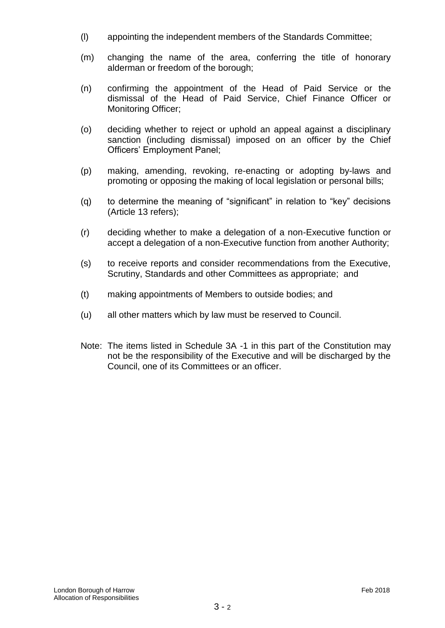- (l) appointing the independent members of the Standards Committee;
- (m) changing the name of the area, conferring the title of honorary alderman or freedom of the borough;
- (n) confirming the appointment of the Head of Paid Service or the dismissal of the Head of Paid Service, Chief Finance Officer or Monitoring Officer;
- (o) deciding whether to reject or uphold an appeal against a disciplinary sanction (including dismissal) imposed on an officer by the Chief Officers' Employment Panel;
- (p) making, amending, revoking, re-enacting or adopting by-laws and promoting or opposing the making of local legislation or personal bills;
- (q) to determine the meaning of "significant" in relation to "key" decisions (Article 13 refers);
- (r) deciding whether to make a delegation of a non-Executive function or accept a delegation of a non-Executive function from another Authority;
- (s) to receive reports and consider recommendations from the Executive, Scrutiny, Standards and other Committees as appropriate; and
- (t) making appointments of Members to outside bodies; and
- (u) all other matters which by law must be reserved to Council.
- Note: The items listed in Schedule 3A -1 in this part of the Constitution may not be the responsibility of the Executive and will be discharged by the Council, one of its Committees or an officer.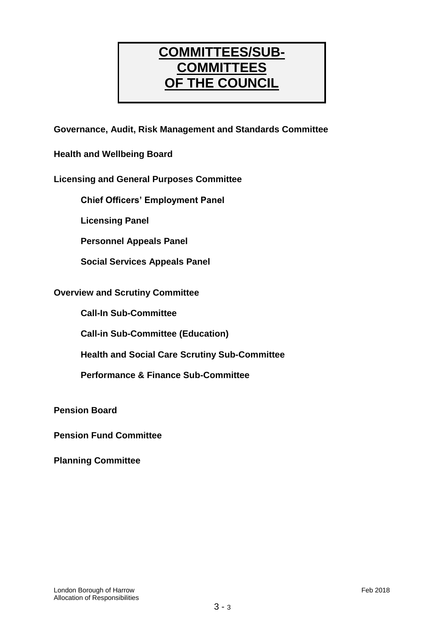# **COMMITTEES/SUB-COMMITTEES OF THE COUNCIL**

**Governance, Audit, Risk Management and Standards Committee**

**Health and Wellbeing Board**

# **Licensing and General Purposes Committee**

**Chief Officers' Employment Panel**

**Licensing Panel**

**Personnel Appeals Panel**

**Social Services Appeals Panel**

# **Overview and Scrutiny Committee**

**Call-In Sub-Committee**

**Call-in Sub-Committee (Education)**

**Health and Social Care Scrutiny Sub-Committee**

**Performance & Finance Sub-Committee**

**Pension Board**

**Pension Fund Committee**

**Planning Committee**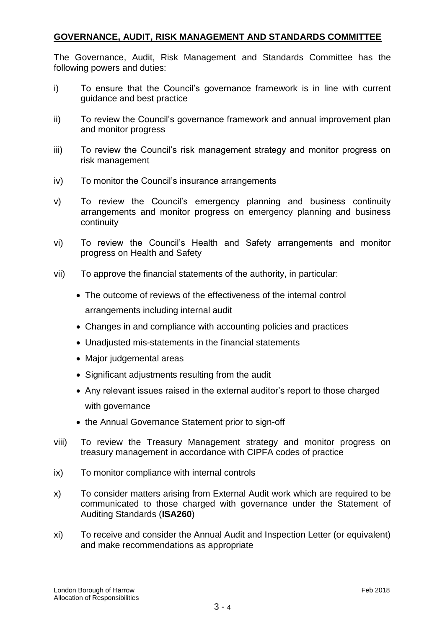# **GOVERNANCE, AUDIT, RISK MANAGEMENT AND STANDARDS COMMITTEE**

The Governance, Audit, Risk Management and Standards Committee has the following powers and duties:

- i) To ensure that the Council's governance framework is in line with current guidance and best practice
- ii) To review the Council's governance framework and annual improvement plan and monitor progress
- iii) To review the Council's risk management strategy and monitor progress on risk management
- iv) To monitor the Council's insurance arrangements
- v) To review the Council's emergency planning and business continuity arrangements and monitor progress on emergency planning and business continuity
- vi) To review the Council's Health and Safety arrangements and monitor progress on Health and Safety
- vii) To approve the financial statements of the authority, in particular:
	- The outcome of reviews of the effectiveness of the internal control arrangements including internal audit
	- Changes in and compliance with accounting policies and practices
	- Unadjusted mis-statements in the financial statements
	- Major judgemental areas
	- Significant adjustments resulting from the audit
	- Any relevant issues raised in the external auditor's report to those charged with governance
	- the Annual Governance Statement prior to sign-off
- viii) To review the Treasury Management strategy and monitor progress on treasury management in accordance with CIPFA codes of practice
- ix) To monitor compliance with internal controls
- x) To consider matters arising from External Audit work which are required to be communicated to those charged with governance under the Statement of Auditing Standards (**ISA260**)
- xi) To receive and consider the Annual Audit and Inspection Letter (or equivalent) and make recommendations as appropriate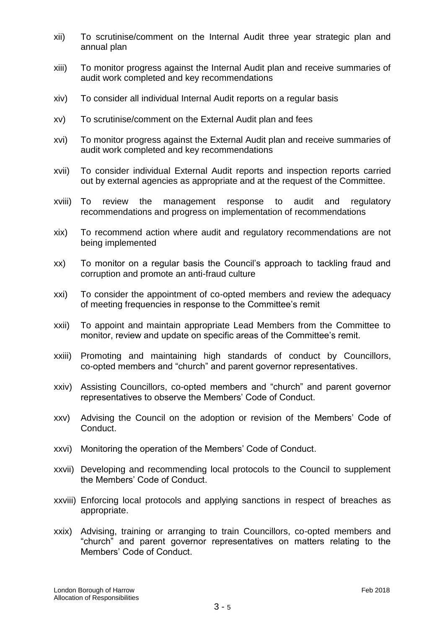- xii) To scrutinise/comment on the Internal Audit three year strategic plan and annual plan
- xiii) To monitor progress against the Internal Audit plan and receive summaries of audit work completed and key recommendations
- xiv) To consider all individual Internal Audit reports on a regular basis
- xv) To scrutinise/comment on the External Audit plan and fees
- xvi) To monitor progress against the External Audit plan and receive summaries of audit work completed and key recommendations
- xvii) To consider individual External Audit reports and inspection reports carried out by external agencies as appropriate and at the request of the Committee.
- xviii) To review the management response to audit and regulatory recommendations and progress on implementation of recommendations
- xix) To recommend action where audit and regulatory recommendations are not being implemented
- xx) To monitor on a regular basis the Council's approach to tackling fraud and corruption and promote an anti-fraud culture
- xxi) To consider the appointment of co-opted members and review the adequacy of meeting frequencies in response to the Committee's remit
- xxii) To appoint and maintain appropriate Lead Members from the Committee to monitor, review and update on specific areas of the Committee's remit.
- xxiii) Promoting and maintaining high standards of conduct by Councillors, co-opted members and "church" and parent governor representatives.
- xxiv) Assisting Councillors, co-opted members and "church" and parent governor representatives to observe the Members' Code of Conduct.
- xxv) Advising the Council on the adoption or revision of the Members' Code of Conduct.
- xxvi) Monitoring the operation of the Members' Code of Conduct.
- xxvii) Developing and recommending local protocols to the Council to supplement the Members' Code of Conduct.
- xxviii) Enforcing local protocols and applying sanctions in respect of breaches as appropriate.
- xxix) Advising, training or arranging to train Councillors, co-opted members and "church" and parent governor representatives on matters relating to the Members' Code of Conduct.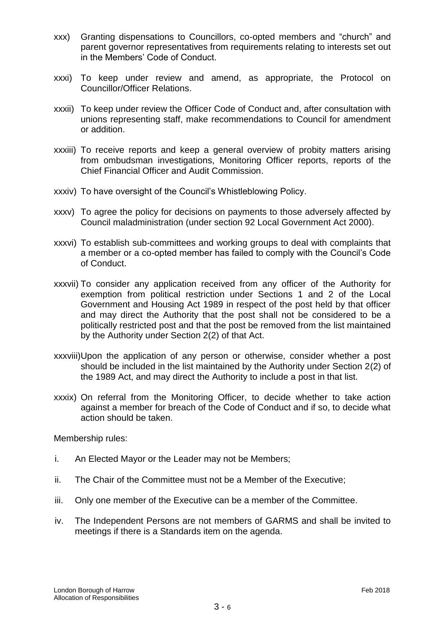- xxx) Granting dispensations to Councillors, co-opted members and "church" and parent governor representatives from requirements relating to interests set out in the Members' Code of Conduct.
- xxxi) To keep under review and amend, as appropriate, the Protocol on Councillor/Officer Relations.
- xxxii) To keep under review the Officer Code of Conduct and, after consultation with unions representing staff, make recommendations to Council for amendment or addition.
- xxxiii) To receive reports and keep a general overview of probity matters arising from ombudsman investigations, Monitoring Officer reports, reports of the Chief Financial Officer and Audit Commission.
- xxxiv) To have oversight of the Council's Whistleblowing Policy.
- xxxv) To agree the policy for decisions on payments to those adversely affected by Council maladministration (under section 92 Local Government Act 2000).
- xxxvi) To establish sub-committees and working groups to deal with complaints that a member or a co-opted member has failed to comply with the Council's Code of Conduct.
- xxxvii) To consider any application received from any officer of the Authority for exemption from political restriction under Sections 1 and 2 of the Local Government and Housing Act 1989 in respect of the post held by that officer and may direct the Authority that the post shall not be considered to be a politically restricted post and that the post be removed from the list maintained by the Authority under Section 2(2) of that Act.
- xxxviii)Upon the application of any person or otherwise, consider whether a post should be included in the list maintained by the Authority under Section 2(2) of the 1989 Act, and may direct the Authority to include a post in that list.
- xxxix) On referral from the Monitoring Officer, to decide whether to take action against a member for breach of the Code of Conduct and if so, to decide what action should be taken.

Membership rules:

- i. An Elected Mayor or the Leader may not be Members;
- ii. The Chair of the Committee must not be a Member of the Executive;
- iii. Only one member of the Executive can be a member of the Committee.
- iv. The Independent Persons are not members of GARMS and shall be invited to meetings if there is a Standards item on the agenda.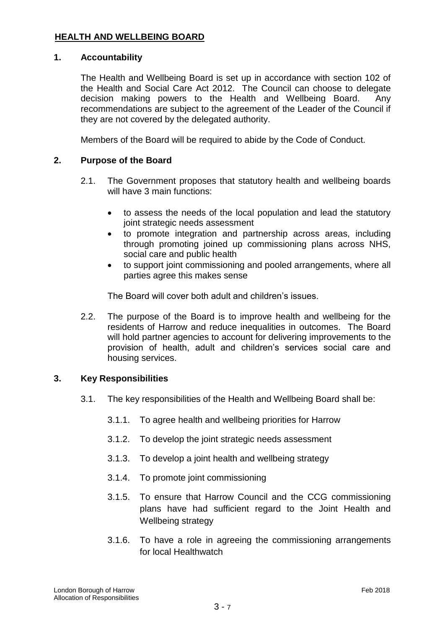# **HEALTH AND WELLBEING BOARD**

# **1. Accountability**

The Health and Wellbeing Board is set up in accordance with section 102 of the Health and Social Care Act 2012. The Council can choose to delegate decision making powers to the Health and Wellbeing Board. Any recommendations are subject to the agreement of the Leader of the Council if they are not covered by the delegated authority.

Members of the Board will be required to abide by the Code of Conduct.

# **2. Purpose of the Board**

- 2.1. The Government proposes that statutory health and wellbeing boards will have 3 main functions:
	- to assess the needs of the local population and lead the statutory joint strategic needs assessment
	- to promote integration and partnership across areas, including through promoting joined up commissioning plans across NHS, social care and public health
	- to support joint commissioning and pooled arrangements, where all parties agree this makes sense

The Board will cover both adult and children's issues.

2.2. The purpose of the Board is to improve health and wellbeing for the residents of Harrow and reduce inequalities in outcomes. The Board will hold partner agencies to account for delivering improvements to the provision of health, adult and children's services social care and housing services.

#### **3. Key Responsibilities**

- 3.1. The key responsibilities of the Health and Wellbeing Board shall be:
	- 3.1.1. To agree health and wellbeing priorities for Harrow
	- 3.1.2. To develop the joint strategic needs assessment
	- 3.1.3. To develop a joint health and wellbeing strategy
	- 3.1.4. To promote joint commissioning
	- 3.1.5. To ensure that Harrow Council and the CCG commissioning plans have had sufficient regard to the Joint Health and Wellbeing strategy
	- 3.1.6. To have a role in agreeing the commissioning arrangements for local Healthwatch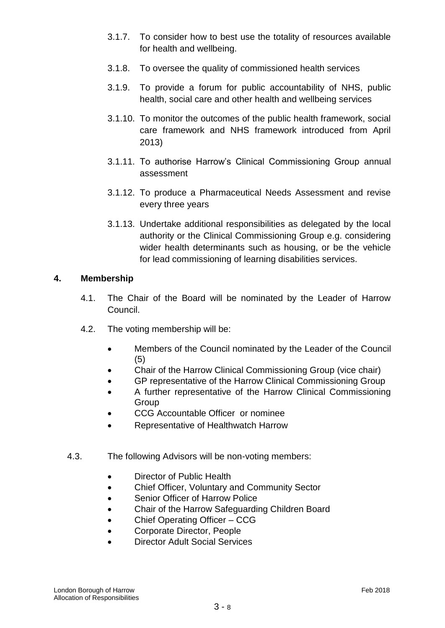- 3.1.7. To consider how to best use the totality of resources available for health and wellbeing.
- 3.1.8. To oversee the quality of commissioned health services
- 3.1.9. To provide a forum for public accountability of NHS, public health, social care and other health and wellbeing services
- 3.1.10. To monitor the outcomes of the public health framework, social care framework and NHS framework introduced from April 2013)
- 3.1.11. To authorise Harrow's Clinical Commissioning Group annual assessment
- 3.1.12. To produce a Pharmaceutical Needs Assessment and revise every three years
- 3.1.13. Undertake additional responsibilities as delegated by the local authority or the Clinical Commissioning Group e.g. considering wider health determinants such as housing, or be the vehicle for lead commissioning of learning disabilities services.

# **4. Membership**

- 4.1. The Chair of the Board will be nominated by the Leader of Harrow Council.
- 4.2. The voting membership will be:
	- Members of the Council nominated by the Leader of the Council (5)
	- Chair of the Harrow Clinical Commissioning Group (vice chair)
	- GP representative of the Harrow Clinical Commissioning Group
	- A further representative of the Harrow Clinical Commissioning **Group**
	- CCG Accountable Officer or nominee
	- Representative of Healthwatch Harrow
- 4.3. The following Advisors will be non-voting members:
	- Director of Public Health
	- Chief Officer, Voluntary and Community Sector
	- Senior Officer of Harrow Police
	- Chair of the Harrow Safeguarding Children Board
	- Chief Operating Officer CCG
	- Corporate Director, People
	- Director Adult Social Services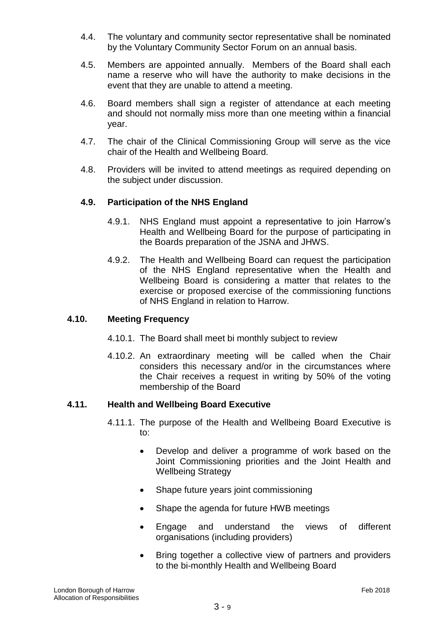- 4.4. The voluntary and community sector representative shall be nominated by the Voluntary Community Sector Forum on an annual basis.
- 4.5. Members are appointed annually. Members of the Board shall each name a reserve who will have the authority to make decisions in the event that they are unable to attend a meeting.
- 4.6. Board members shall sign a register of attendance at each meeting and should not normally miss more than one meeting within a financial year.
- 4.7. The chair of the Clinical Commissioning Group will serve as the vice chair of the Health and Wellbeing Board.
- 4.8. Providers will be invited to attend meetings as required depending on the subject under discussion.

# **4.9. Participation of the NHS England**

- 4.9.1. NHS England must appoint a representative to join Harrow's Health and Wellbeing Board for the purpose of participating in the Boards preparation of the JSNA and JHWS.
- 4.9.2. The Health and Wellbeing Board can request the participation of the NHS England representative when the Health and Wellbeing Board is considering a matter that relates to the exercise or proposed exercise of the commissioning functions of NHS England in relation to Harrow.

# **4.10. Meeting Frequency**

- 4.10.1. The Board shall meet bi monthly subject to review
- 4.10.2. An extraordinary meeting will be called when the Chair considers this necessary and/or in the circumstances where the Chair receives a request in writing by 50% of the voting membership of the Board

# **4.11. Health and Wellbeing Board Executive**

- 4.11.1. The purpose of the Health and Wellbeing Board Executive is to:
	- Develop and deliver a programme of work based on the Joint Commissioning priorities and the Joint Health and Wellbeing Strategy
	- Shape future years joint commissioning
	- Shape the agenda for future HWB meetings
	- Engage and understand the views of different organisations (including providers)
	- Bring together a collective view of partners and providers to the bi-monthly Health and Wellbeing Board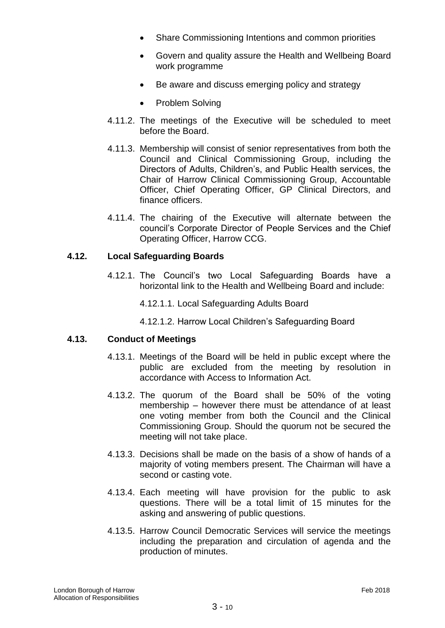- Share Commissioning Intentions and common priorities
- Govern and quality assure the Health and Wellbeing Board work programme
- Be aware and discuss emerging policy and strategy
- Problem Solving
- 4.11.2. The meetings of the Executive will be scheduled to meet before the Board.
- 4.11.3. Membership will consist of senior representatives from both the Council and Clinical Commissioning Group, including the Directors of Adults, Children's, and Public Health services, the Chair of Harrow Clinical Commissioning Group, Accountable Officer, Chief Operating Officer, GP Clinical Directors, and finance officers.
- 4.11.4. The chairing of the Executive will alternate between the council's Corporate Director of People Services and the Chief Operating Officer, Harrow CCG.

# **4.12. Local Safeguarding Boards**

- 4.12.1. The Council's two Local Safeguarding Boards have a horizontal link to the Health and Wellbeing Board and include:
	- 4.12.1.1. Local Safeguarding Adults Board
	- 4.12.1.2. Harrow Local Children's Safeguarding Board

# **4.13. Conduct of Meetings**

- 4.13.1. Meetings of the Board will be held in public except where the public are excluded from the meeting by resolution in accordance with Access to Information Act.
- 4.13.2. The quorum of the Board shall be 50% of the voting membership – however there must be attendance of at least one voting member from both the Council and the Clinical Commissioning Group. Should the quorum not be secured the meeting will not take place.
- 4.13.3. Decisions shall be made on the basis of a show of hands of a majority of voting members present. The Chairman will have a second or casting vote.
- 4.13.4. Each meeting will have provision for the public to ask questions. There will be a total limit of 15 minutes for the asking and answering of public questions.
- 4.13.5. Harrow Council Democratic Services will service the meetings including the preparation and circulation of agenda and the production of minutes.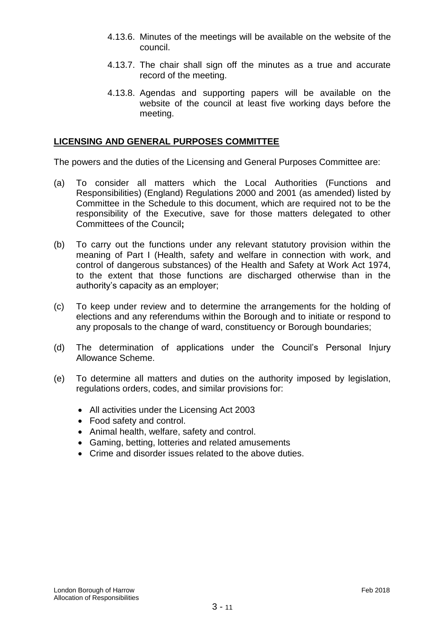- 4.13.6. Minutes of the meetings will be available on the website of the council.
- 4.13.7. The chair shall sign off the minutes as a true and accurate record of the meeting.
- 4.13.8. Agendas and supporting papers will be available on the website of the council at least five working days before the meeting.

#### **LICENSING AND GENERAL PURPOSES COMMITTEE**

The powers and the duties of the Licensing and General Purposes Committee are:

- (a) To consider all matters which the Local Authorities (Functions and Responsibilities) (England) Regulations 2000 and 2001 (as amended) listed by Committee in the Schedule to this document, which are required not to be the responsibility of the Executive, save for those matters delegated to other Committees of the Council**;**
- (b) To carry out the functions under any relevant statutory provision within the meaning of Part I (Health, safety and welfare in connection with work, and control of dangerous substances) of the Health and Safety at Work Act 1974, to the extent that those functions are discharged otherwise than in the authority's capacity as an employer;
- (c) To keep under review and to determine the arrangements for the holding of elections and any referendums within the Borough and to initiate or respond to any proposals to the change of ward, constituency or Borough boundaries;
- (d) The determination of applications under the Council's Personal Injury Allowance Scheme.
- (e) To determine all matters and duties on the authority imposed by legislation, regulations orders, codes, and similar provisions for:
	- All activities under the Licensing Act 2003
	- Food safety and control.
	- Animal health, welfare, safety and control.
	- Gaming, betting, lotteries and related amusements
	- Crime and disorder issues related to the above duties.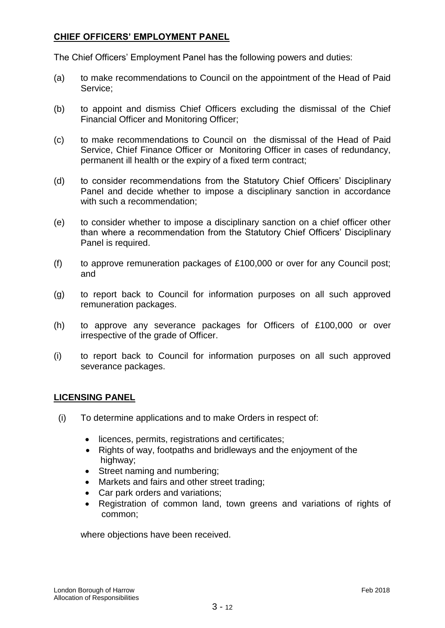# **CHIEF OFFICERS' EMPLOYMENT PANEL**

The Chief Officers' Employment Panel has the following powers and duties:

- (a) to make recommendations to Council on the appointment of the Head of Paid Service;
- (b) to appoint and dismiss Chief Officers excluding the dismissal of the Chief Financial Officer and Monitoring Officer;
- (c) to make recommendations to Council on the dismissal of the Head of Paid Service, Chief Finance Officer or Monitoring Officer in cases of redundancy, permanent ill health or the expiry of a fixed term contract;
- (d) to consider recommendations from the Statutory Chief Officers' Disciplinary Panel and decide whether to impose a disciplinary sanction in accordance with such a recommendation;
- (e) to consider whether to impose a disciplinary sanction on a chief officer other than where a recommendation from the Statutory Chief Officers' Disciplinary Panel is required.
- (f) to approve remuneration packages of £100,000 or over for any Council post; and
- (g) to report back to Council for information purposes on all such approved remuneration packages.
- (h) to approve any severance packages for Officers of £100,000 or over irrespective of the grade of Officer.
- (i) to report back to Council for information purposes on all such approved severance packages.

# **LICENSING PANEL**

- (i) To determine applications and to make Orders in respect of:
	- licences, permits, registrations and certificates;
	- Rights of way, footpaths and bridleways and the enjoyment of the highway;
	- Street naming and numbering;
	- Markets and fairs and other street trading;
	- Car park orders and variations;
	- Registration of common land, town greens and variations of rights of common;

where objections have been received.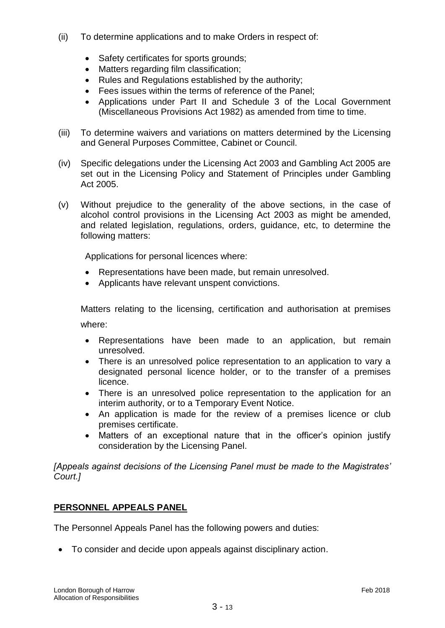- (ii) To determine applications and to make Orders in respect of:
	- Safety certificates for sports grounds:
	- Matters regarding film classification;
	- Rules and Regulations established by the authority:
	- Fees issues within the terms of reference of the Panel;
	- Applications under Part II and Schedule 3 of the Local Government (Miscellaneous Provisions Act 1982) as amended from time to time.
- (iii) To determine waivers and variations on matters determined by the Licensing and General Purposes Committee, Cabinet or Council.
- (iv) Specific delegations under the Licensing Act 2003 and Gambling Act 2005 are set out in the Licensing Policy and Statement of Principles under Gambling Act 2005.
- (v) Without prejudice to the generality of the above sections, in the case of alcohol control provisions in the Licensing Act 2003 as might be amended, and related legislation, regulations, orders, guidance, etc, to determine the following matters:

Applications for personal licences where:

- Representations have been made, but remain unresolved.
- Applicants have relevant unspent convictions.

Matters relating to the licensing, certification and authorisation at premises where:

- Representations have been made to an application, but remain unresolved.
- There is an unresolved police representation to an application to vary a designated personal licence holder, or to the transfer of a premises licence.
- There is an unresolved police representation to the application for an interim authority, or to a Temporary Event Notice.
- An application is made for the review of a premises licence or club premises certificate.
- Matters of an exceptional nature that in the officer's opinion justify consideration by the Licensing Panel.

*[Appeals against decisions of the Licensing Panel must be made to the Magistrates' Court.]*

# **PERSONNEL APPEALS PANEL**

The Personnel Appeals Panel has the following powers and duties:

To consider and decide upon appeals against disciplinary action.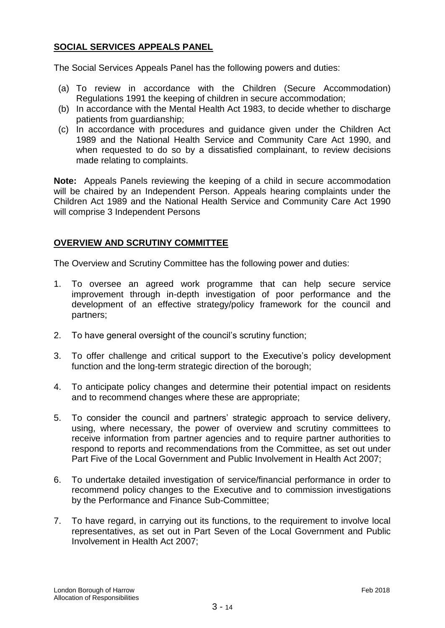# **SOCIAL SERVICES APPEALS PANEL**

The Social Services Appeals Panel has the following powers and duties:

- (a) To review in accordance with the Children (Secure Accommodation) Regulations 1991 the keeping of children in secure accommodation;
- (b) In accordance with the Mental Health Act 1983, to decide whether to discharge patients from guardianship;
- (c) In accordance with procedures and guidance given under the Children Act 1989 and the National Health Service and Community Care Act 1990, and when requested to do so by a dissatisfied complainant, to review decisions made relating to complaints.

**Note:** Appeals Panels reviewing the keeping of a child in secure accommodation will be chaired by an Independent Person. Appeals hearing complaints under the Children Act 1989 and the National Health Service and Community Care Act 1990 will comprise 3 Independent Persons

# **OVERVIEW AND SCRUTINY COMMITTEE**

The Overview and Scrutiny Committee has the following power and duties:

- 1. To oversee an agreed work programme that can help secure service improvement through in-depth investigation of poor performance and the development of an effective strategy/policy framework for the council and partners;
- 2. To have general oversight of the council's scrutiny function;
- 3. To offer challenge and critical support to the Executive's policy development function and the long-term strategic direction of the borough;
- 4. To anticipate policy changes and determine their potential impact on residents and to recommend changes where these are appropriate;
- 5. To consider the council and partners' strategic approach to service delivery, using, where necessary, the power of overview and scrutiny committees to receive information from partner agencies and to require partner authorities to respond to reports and recommendations from the Committee, as set out under Part Five of the Local Government and Public Involvement in Health Act 2007;
- 6. To undertake detailed investigation of service/financial performance in order to recommend policy changes to the Executive and to commission investigations by the Performance and Finance Sub-Committee;
- 7. To have regard, in carrying out its functions, to the requirement to involve local representatives, as set out in Part Seven of the Local Government and Public Involvement in Health Act 2007;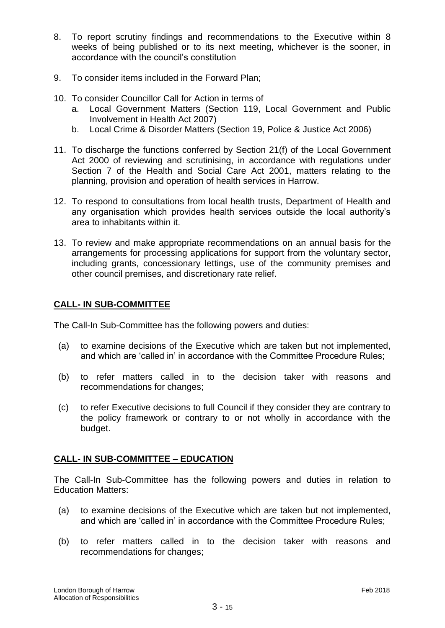- 8. To report scrutiny findings and recommendations to the Executive within 8 weeks of being published or to its next meeting, whichever is the sooner, in accordance with the council's constitution
- 9. To consider items included in the Forward Plan;
- 10. To consider Councillor Call for Action in terms of
	- a. Local Government Matters (Section 119, Local Government and Public Involvement in Health Act 2007)
	- b. Local Crime & Disorder Matters (Section 19, Police & Justice Act 2006)
- 11. To discharge the functions conferred by Section 21(f) of the Local Government Act 2000 of reviewing and scrutinising, in accordance with regulations under Section 7 of the Health and Social Care Act 2001, matters relating to the planning, provision and operation of health services in Harrow.
- 12. To respond to consultations from local health trusts, Department of Health and any organisation which provides health services outside the local authority's area to inhabitants within it.
- 13. To review and make appropriate recommendations on an annual basis for the arrangements for processing applications for support from the voluntary sector, including grants, concessionary lettings, use of the community premises and other council premises, and discretionary rate relief.

# **CALL- IN SUB-COMMITTEE**

The Call-In Sub-Committee has the following powers and duties:

- (a) to examine decisions of the Executive which are taken but not implemented, and which are 'called in' in accordance with the Committee Procedure Rules;
- (b) to refer matters called in to the decision taker with reasons and recommendations for changes;
- (c) to refer Executive decisions to full Council if they consider they are contrary to the policy framework or contrary to or not wholly in accordance with the budget.

# **CALL- IN SUB-COMMITTEE – EDUCATION**

The Call-In Sub-Committee has the following powers and duties in relation to Education Matters:

- (a) to examine decisions of the Executive which are taken but not implemented, and which are 'called in' in accordance with the Committee Procedure Rules;
- (b) to refer matters called in to the decision taker with reasons and recommendations for changes;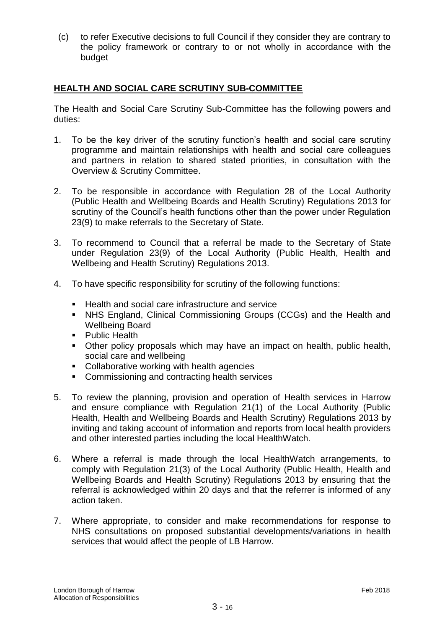(c) to refer Executive decisions to full Council if they consider they are contrary to the policy framework or contrary to or not wholly in accordance with the budget

# **HEALTH AND SOCIAL CARE SCRUTINY SUB-COMMITTEE**

The Health and Social Care Scrutiny Sub-Committee has the following powers and duties:

- 1. To be the key driver of the scrutiny function's health and social care scrutiny programme and maintain relationships with health and social care colleagues and partners in relation to shared stated priorities, in consultation with the Overview & Scrutiny Committee.
- 2. To be responsible in accordance with Regulation 28 of the Local Authority (Public Health and Wellbeing Boards and Health Scrutiny) Regulations 2013 for scrutiny of the Council's health functions other than the power under Regulation 23(9) to make referrals to the Secretary of State.
- 3. To recommend to Council that a referral be made to the Secretary of State under Regulation 23(9) of the Local Authority (Public Health, Health and Wellbeing and Health Scrutiny) Regulations 2013.
- 4. To have specific responsibility for scrutiny of the following functions:
	- Health and social care infrastructure and service
	- NHS England, Clinical Commissioning Groups (CCGs) and the Health and Wellbeing Board
	- **Public Health**
	- Other policy proposals which may have an impact on health, public health, social care and wellbeing
	- Collaborative working with health agencies
	- **EXECOMMISSIONING AND CONTRACTING HEALTH SERVICES**
- 5. To review the planning, provision and operation of Health services in Harrow and ensure compliance with Regulation 21(1) of the Local Authority (Public Health, Health and Wellbeing Boards and Health Scrutiny) Regulations 2013 by inviting and taking account of information and reports from local health providers and other interested parties including the local HealthWatch.
- 6. Where a referral is made through the local HealthWatch arrangements, to comply with Regulation 21(3) of the Local Authority (Public Health, Health and Wellbeing Boards and Health Scrutiny) Regulations 2013 by ensuring that the referral is acknowledged within 20 days and that the referrer is informed of any action taken.
- 7. Where appropriate, to consider and make recommendations for response to NHS consultations on proposed substantial developments/variations in health services that would affect the people of LB Harrow.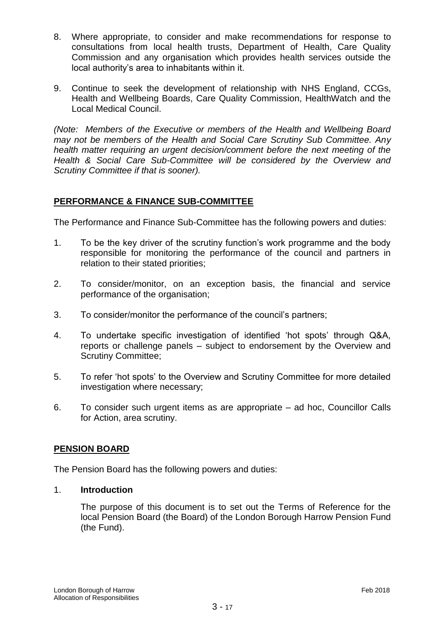- 8. Where appropriate, to consider and make recommendations for response to consultations from local health trusts, Department of Health, Care Quality Commission and any organisation which provides health services outside the local authority's area to inhabitants within it.
- 9. Continue to seek the development of relationship with NHS England, CCGs, Health and Wellbeing Boards, Care Quality Commission, HealthWatch and the Local Medical Council.

*(Note: Members of the Executive or members of the Health and Wellbeing Board may not be members of the Health and Social Care Scrutiny Sub Committee. Any health matter requiring an urgent decision/comment before the next meeting of the Health & Social Care Sub-Committee will be considered by the Overview and Scrutiny Committee if that is sooner).*

# **PERFORMANCE & FINANCE SUB-COMMITTEE**

The Performance and Finance Sub-Committee has the following powers and duties:

- 1. To be the key driver of the scrutiny function's work programme and the body responsible for monitoring the performance of the council and partners in relation to their stated priorities;
- 2. To consider/monitor, on an exception basis, the financial and service performance of the organisation;
- 3. To consider/monitor the performance of the council's partners;
- 4. To undertake specific investigation of identified 'hot spots' through Q&A, reports or challenge panels – subject to endorsement by the Overview and Scrutiny Committee;
- 5. To refer 'hot spots' to the Overview and Scrutiny Committee for more detailed investigation where necessary;
- 6. To consider such urgent items as are appropriate ad hoc, Councillor Calls for Action, area scrutiny.

# **PENSION BOARD**

The Pension Board has the following powers and duties:

# 1. **Introduction**

The purpose of this document is to set out the Terms of Reference for the local Pension Board (the Board) of the London Borough Harrow Pension Fund (the Fund).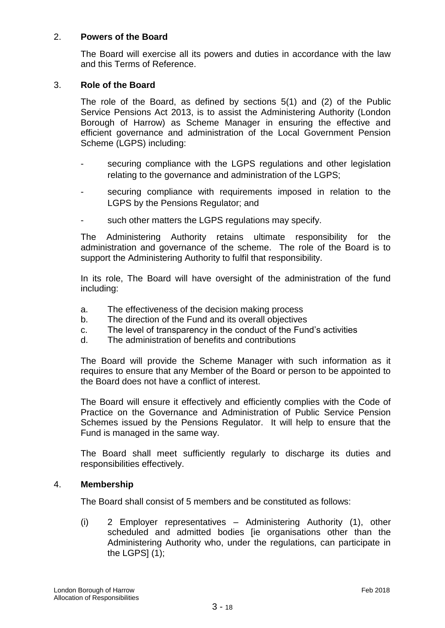# 2. **Powers of the Board**

The Board will exercise all its powers and duties in accordance with the law and this Terms of Reference.

#### 3. **Role of the Board**

The role of the Board, as defined by sections 5(1) and (2) of the Public Service Pensions Act 2013, is to assist the Administering Authority (London Borough of Harrow) as Scheme Manager in ensuring the effective and efficient governance and administration of the Local Government Pension Scheme (LGPS) including:

- securing compliance with the LGPS regulations and other legislation relating to the governance and administration of the LGPS;
- securing compliance with requirements imposed in relation to the LGPS by the Pensions Regulator; and
- such other matters the LGPS regulations may specify.

The Administering Authority retains ultimate responsibility for the administration and governance of the scheme. The role of the Board is to support the Administering Authority to fulfil that responsibility.

In its role, The Board will have oversight of the administration of the fund including:

- a. The effectiveness of the decision making process
- b. The direction of the Fund and its overall objectives
- c. The level of transparency in the conduct of the Fund's activities
- d. The administration of benefits and contributions

The Board will provide the Scheme Manager with such information as it requires to ensure that any Member of the Board or person to be appointed to the Board does not have a conflict of interest.

The Board will ensure it effectively and efficiently complies with the Code of Practice on the Governance and Administration of Public Service Pension Schemes issued by the Pensions Regulator. It will help to ensure that the Fund is managed in the same way.

The Board shall meet sufficiently regularly to discharge its duties and responsibilities effectively.

#### 4. **Membership**

The Board shall consist of 5 members and be constituted as follows:

(i) 2 Employer representatives – Administering Authority (1), other scheduled and admitted bodies [ie organisations other than the Administering Authority who, under the regulations, can participate in the LGPS $(1)$ ;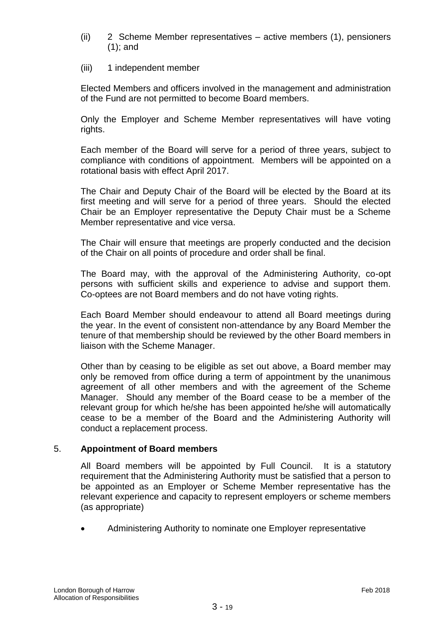- (ii) 2 Scheme Member representatives active members (1), pensioners (1); and
- (iii) 1 independent member

Elected Members and officers involved in the management and administration of the Fund are not permitted to become Board members.

Only the Employer and Scheme Member representatives will have voting rights.

Each member of the Board will serve for a period of three years, subject to compliance with conditions of appointment. Members will be appointed on a rotational basis with effect April 2017.

The Chair and Deputy Chair of the Board will be elected by the Board at its first meeting and will serve for a period of three years. Should the elected Chair be an Employer representative the Deputy Chair must be a Scheme Member representative and vice versa.

The Chair will ensure that meetings are properly conducted and the decision of the Chair on all points of procedure and order shall be final.

The Board may, with the approval of the Administering Authority, co-opt persons with sufficient skills and experience to advise and support them. Co-optees are not Board members and do not have voting rights.

Each Board Member should endeavour to attend all Board meetings during the year. In the event of consistent non-attendance by any Board Member the tenure of that membership should be reviewed by the other Board members in liaison with the Scheme Manager.

Other than by ceasing to be eligible as set out above, a Board member may only be removed from office during a term of appointment by the unanimous agreement of all other members and with the agreement of the Scheme Manager. Should any member of the Board cease to be a member of the relevant group for which he/she has been appointed he/she will automatically cease to be a member of the Board and the Administering Authority will conduct a replacement process.

# 5. **Appointment of Board members**

All Board members will be appointed by Full Council. It is a statutory requirement that the Administering Authority must be satisfied that a person to be appointed as an Employer or Scheme Member representative has the relevant experience and capacity to represent employers or scheme members (as appropriate)

Administering Authority to nominate one Employer representative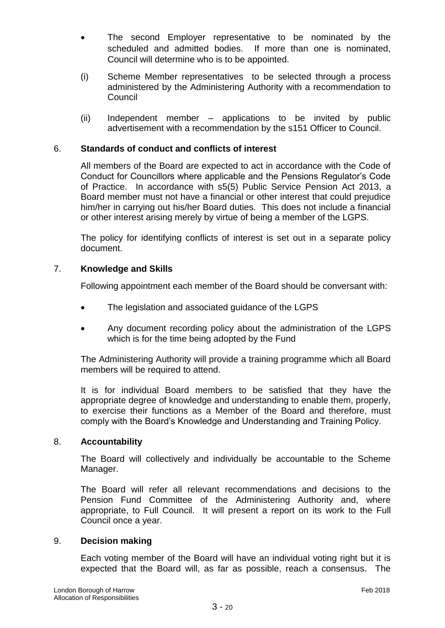- The second Employer representative to be nominated by the scheduled and admitted bodies. If more than one is nominated, Council will determine who is to be appointed.
- (i) Scheme Member representatives to be selected through a process administered by the Administering Authority with a recommendation to **Council**
- (ii) Independent member applications to be invited by public advertisement with a recommendation by the s151 Officer to Council.

# 6. **Standards of conduct and conflicts of interest**

All members of the Board are expected to act in accordance with the Code of Conduct for Councillors where applicable and the Pensions Regulator's Code of Practice. In accordance with s5(5) Public Service Pension Act 2013, a Board member must not have a financial or other interest that could prejudice him/her in carrying out his/her Board duties. This does not include a financial or other interest arising merely by virtue of being a member of the LGPS.

The policy for identifying conflicts of interest is set out in a separate policy document.

# 7. **Knowledge and Skills**

Following appointment each member of the Board should be conversant with:

- The legislation and associated guidance of the LGPS
- Any document recording policy about the administration of the LGPS which is for the time being adopted by the Fund

The Administering Authority will provide a training programme which all Board members will be required to attend.

It is for individual Board members to be satisfied that they have the appropriate degree of knowledge and understanding to enable them, properly, to exercise their functions as a Member of the Board and therefore, must comply with the Board's Knowledge and Understanding and Training Policy.

# 8. **Accountability**

The Board will collectively and individually be accountable to the Scheme Manager.

The Board will refer all relevant recommendations and decisions to the Pension Fund Committee of the Administering Authority and, where appropriate, to Full Council. It will present a report on its work to the Full Council once a year.

# 9. **Decision making**

Each voting member of the Board will have an individual voting right but it is expected that the Board will, as far as possible, reach a consensus. The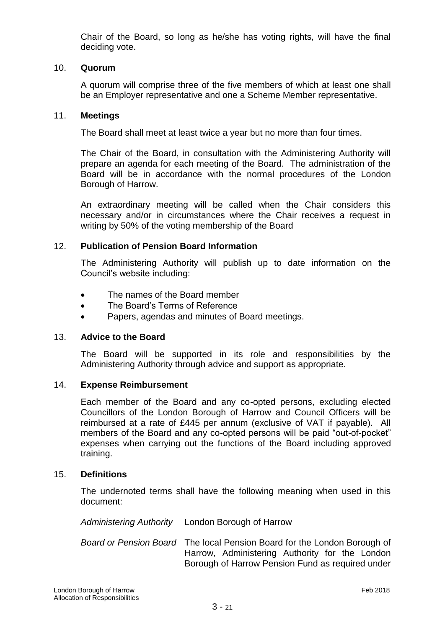Chair of the Board, so long as he/she has voting rights, will have the final deciding vote.

### 10. **Quorum**

A quorum will comprise three of the five members of which at least one shall be an Employer representative and one a Scheme Member representative.

#### 11. **Meetings**

The Board shall meet at least twice a year but no more than four times.

The Chair of the Board, in consultation with the Administering Authority will prepare an agenda for each meeting of the Board. The administration of the Board will be in accordance with the normal procedures of the London Borough of Harrow.

An extraordinary meeting will be called when the Chair considers this necessary and/or in circumstances where the Chair receives a request in writing by 50% of the voting membership of the Board

#### 12. **Publication of Pension Board Information**

The Administering Authority will publish up to date information on the Council's website including:

- The names of the Board member
- The Board's Terms of Reference
- Papers, agendas and minutes of Board meetings.

#### 13. **Advice to the Board**

The Board will be supported in its role and responsibilities by the Administering Authority through advice and support as appropriate.

#### 14. **Expense Reimbursement**

Each member of the Board and any co-opted persons, excluding elected Councillors of the London Borough of Harrow and Council Officers will be reimbursed at a rate of £445 per annum (exclusive of VAT if payable). All members of the Board and any co-opted persons will be paid "out-of-pocket" expenses when carrying out the functions of the Board including approved training.

#### 15. **Definitions**

The undernoted terms shall have the following meaning when used in this document:

*Administering Authority* London Borough of Harrow

*Board or Pension Board* The local Pension Board for the London Borough of Harrow, Administering Authority for the London Borough of Harrow Pension Fund as required under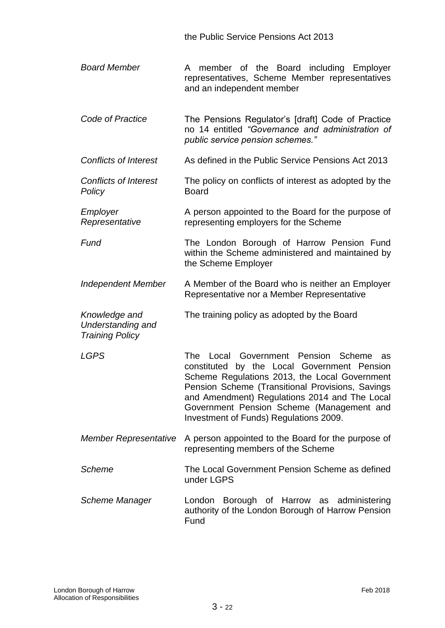the Public Service Pensions Act 2013

- *Board Member* A member of the Board including Employer representatives, Scheme Member representatives and an independent member
- *Code of Practice* The Pensions Regulator's [draft] Code of Practice no 14 entitled *"Governance and administration of public service pension schemes."*
- *Conflicts of Interest* As defined in the Public Service Pensions Act 2013
- *Conflicts of Interest Policy* The policy on conflicts of interest as adopted by the Board
- *Employer Representative* A person appointed to the Board for the purpose of representing employers for the Scheme

**Fund The London Borough of Harrow Pension Fund** within the Scheme administered and maintained by the Scheme Employer

- *Independent Member* A Member of the Board who is neither an Employer Representative nor a Member Representative
- *Knowledge and Understanding and*  The training policy as adopted by the Board

*Training Policy*

*LGPS* The Local Government Pension Scheme as constituted by the Local Government Pension Scheme Regulations 2013, the Local Government Pension Scheme (Transitional Provisions, Savings and Amendment) Regulations 2014 and The Local Government Pension Scheme (Management and Investment of Funds) Regulations 2009.

- *Member Representative* A person appointed to the Board for the purpose of representing members of the Scheme
- *Scheme* The Local Government Pension Scheme as defined under LGPS
- *Scheme Manager* London Borough of Harrow as administering authority of the London Borough of Harrow Pension Fund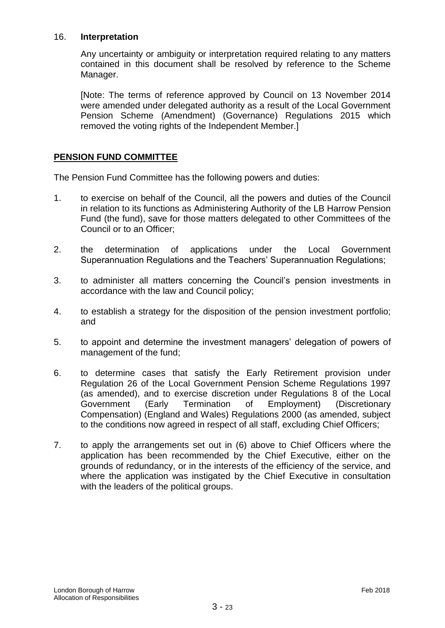### 16. **Interpretation**

Any uncertainty or ambiguity or interpretation required relating to any matters contained in this document shall be resolved by reference to the Scheme Manager.

[Note: The terms of reference approved by Council on 13 November 2014 were amended under delegated authority as a result of the Local Government Pension Scheme (Amendment) (Governance) Regulations 2015 which removed the voting rights of the Independent Member.]

# **PENSION FUND COMMITTEE**

The Pension Fund Committee has the following powers and duties:

- 1. to exercise on behalf of the Council, all the powers and duties of the Council in relation to its functions as Administering Authority of the LB Harrow Pension Fund (the fund), save for those matters delegated to other Committees of the Council or to an Officer;
- 2. the determination of applications under the Local Government Superannuation Regulations and the Teachers' Superannuation Regulations;
- 3. to administer all matters concerning the Council's pension investments in accordance with the law and Council policy;
- 4. to establish a strategy for the disposition of the pension investment portfolio; and
- 5. to appoint and determine the investment managers' delegation of powers of management of the fund;
- 6. to determine cases that satisfy the Early Retirement provision under Regulation 26 of the Local Government Pension Scheme Regulations 1997 (as amended), and to exercise discretion under Regulations 8 of the Local Government (Early Termination of Employment) (Discretionary Compensation) (England and Wales) Regulations 2000 (as amended, subject to the conditions now agreed in respect of all staff, excluding Chief Officers;
- 7. to apply the arrangements set out in (6) above to Chief Officers where the application has been recommended by the Chief Executive, either on the grounds of redundancy, or in the interests of the efficiency of the service, and where the application was instigated by the Chief Executive in consultation with the leaders of the political groups.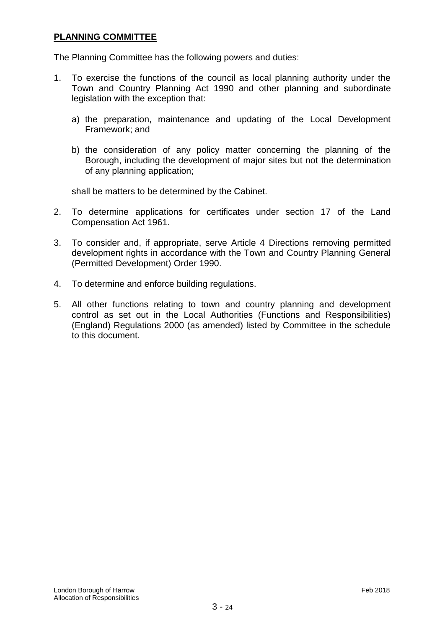# **PLANNING COMMITTEE**

The Planning Committee has the following powers and duties:

- 1. To exercise the functions of the council as local planning authority under the Town and Country Planning Act 1990 and other planning and subordinate legislation with the exception that:
	- a) the preparation, maintenance and updating of the Local Development Framework; and
	- b) the consideration of any policy matter concerning the planning of the Borough, including the development of major sites but not the determination of any planning application;

shall be matters to be determined by the Cabinet.

- 2. To determine applications for certificates under section 17 of the Land Compensation Act 1961.
- 3. To consider and, if appropriate, serve Article 4 Directions removing permitted development rights in accordance with the Town and Country Planning General (Permitted Development) Order 1990.
- 4. To determine and enforce building regulations.
- 5. All other functions relating to town and country planning and development control as set out in the Local Authorities (Functions and Responsibilities) (England) Regulations 2000 (as amended) listed by Committee in the schedule to this document.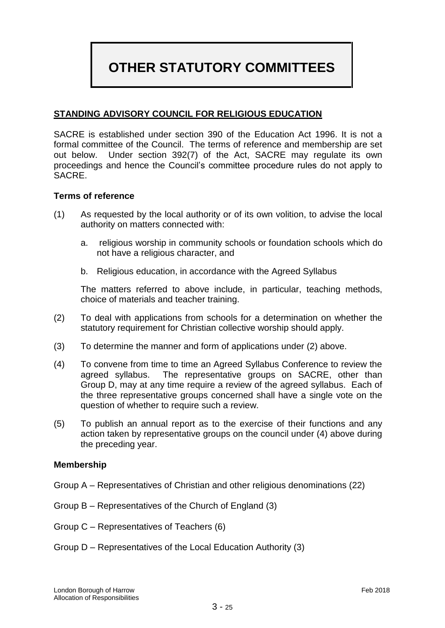# **OTHER STATUTORY COMMITTEES**

# **STANDING ADVISORY COUNCIL FOR RELIGIOUS EDUCATION**

SACRE is established under section 390 of the Education Act 1996. It is not a formal committee of the Council. The terms of reference and membership are set out below. Under section 392(7) of the Act, SACRE may regulate its own proceedings and hence the Council's committee procedure rules do not apply to SACRE.

#### **Terms of reference**

- (1) As requested by the local authority or of its own volition, to advise the local authority on matters connected with:
	- a. religious worship in community schools or foundation schools which do not have a religious character, and
	- b. Religious education, in accordance with the Agreed Syllabus

The matters referred to above include, in particular, teaching methods, choice of materials and teacher training.

- (2) To deal with applications from schools for a determination on whether the statutory requirement for Christian collective worship should apply.
- (3) To determine the manner and form of applications under (2) above.
- (4) To convene from time to time an Agreed Syllabus Conference to review the agreed syllabus. The representative groups on SACRE, other than Group D, may at any time require a review of the agreed syllabus. Each of the three representative groups concerned shall have a single vote on the question of whether to require such a review.
- (5) To publish an annual report as to the exercise of their functions and any action taken by representative groups on the council under (4) above during the preceding year.

#### **Membership**

- Group A Representatives of Christian and other religious denominations (22)
- Group B Representatives of the Church of England (3)
- Group C Representatives of Teachers (6)
- Group D Representatives of the Local Education Authority (3)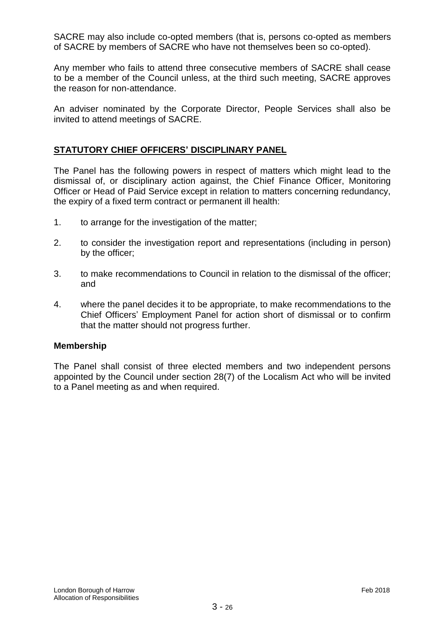SACRE may also include co-opted members (that is, persons co-opted as members of SACRE by members of SACRE who have not themselves been so co-opted).

Any member who fails to attend three consecutive members of SACRE shall cease to be a member of the Council unless, at the third such meeting, SACRE approves the reason for non-attendance.

An adviser nominated by the Corporate Director, People Services shall also be invited to attend meetings of SACRE.

# **STATUTORY CHIEF OFFICERS' DISCIPLINARY PANEL**

The Panel has the following powers in respect of matters which might lead to the dismissal of, or disciplinary action against, the Chief Finance Officer, Monitoring Officer or Head of Paid Service except in relation to matters concerning redundancy, the expiry of a fixed term contract or permanent ill health:

- 1. to arrange for the investigation of the matter;
- 2. to consider the investigation report and representations (including in person) by the officer;
- 3. to make recommendations to Council in relation to the dismissal of the officer; and
- 4. where the panel decides it to be appropriate, to make recommendations to the Chief Officers' Employment Panel for action short of dismissal or to confirm that the matter should not progress further.

#### **Membership**

The Panel shall consist of three elected members and two independent persons appointed by the Council under section 28(7) of the Localism Act who will be invited to a Panel meeting as and when required.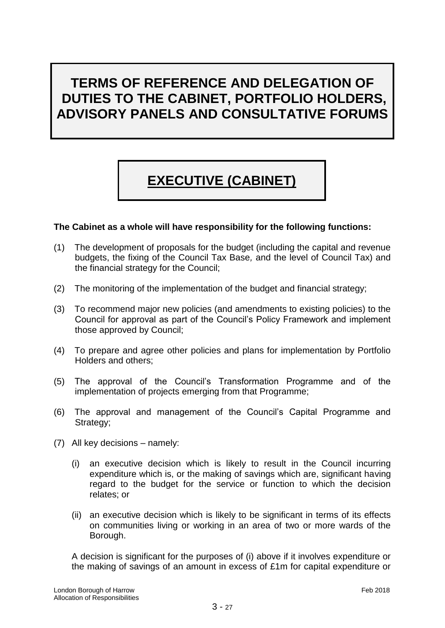# **TERMS OF REFERENCE AND DELEGATION OF DUTIES TO THE CABINET, PORTFOLIO HOLDERS, ADVISORY PANELS AND CONSULTATIVE FORUMS**

# **EXECUTIVE (CABINET)**

# **The Cabinet as a whole will have responsibility for the following functions:**

- (1) The development of proposals for the budget (including the capital and revenue budgets, the fixing of the Council Tax Base*,* and the level of Council Tax) and the financial strategy for the Council;
- (2) The monitoring of the implementation of the budget and financial strategy;
- (3) To recommend major new policies (and amendments to existing policies) to the Council for approval as part of the Council's Policy Framework and implement those approved by Council;
- (4) To prepare and agree other policies and plans for implementation by Portfolio Holders and others;
- (5) The approval of the Council's Transformation Programme and of the implementation of projects emerging from that Programme;
- (6) The approval and management of the Council's Capital Programme and Strategy;
- (7) All key decisions namely:
	- (i) an executive decision which is likely to result in the Council incurring expenditure which is, or the making of savings which are, significant having regard to the budget for the service or function to which the decision relates; or
	- (ii) an executive decision which is likely to be significant in terms of its effects on communities living or working in an area of two or more wards of the Borough.

A decision is significant for the purposes of (i) above if it involves expenditure or the making of savings of an amount in excess of £1m for capital expenditure or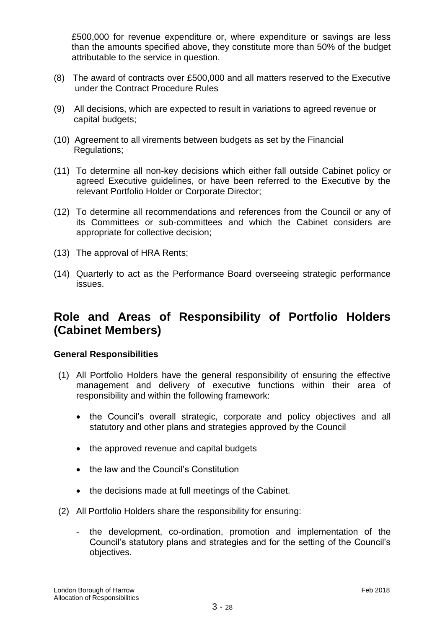£500,000 for revenue expenditure or, where expenditure or savings are less than the amounts specified above, they constitute more than 50% of the budget attributable to the service in question.

- (8) The award of contracts over £500,000 and all matters reserved to the Executive under the Contract Procedure Rules
- (9) All decisions, which are expected to result in variations to agreed revenue or capital budgets;
- (10) Agreement to all virements between budgets as set by the Financial Regulations;
- (11) To determine all non-key decisions which either fall outside Cabinet policy or agreed Executive guidelines, or have been referred to the Executive by the relevant Portfolio Holder or Corporate Director;
- (12) To determine all recommendations and references from the Council or any of its Committees or sub-committees and which the Cabinet considers are appropriate for collective decision;
- (13) The approval of HRA Rents;
- (14) Quarterly to act as the Performance Board overseeing strategic performance issues.

# **Role and Areas of Responsibility of Portfolio Holders (Cabinet Members)**

#### **General Responsibilities**

- (1) All Portfolio Holders have the general responsibility of ensuring the effective management and delivery of executive functions within their area of responsibility and within the following framework:
	- the Council's overall strategic, corporate and policy objectives and all statutory and other plans and strategies approved by the Council
	- the approved revenue and capital budgets
	- the law and the Council's Constitution
	- the decisions made at full meetings of the Cabinet.
- (2) All Portfolio Holders share the responsibility for ensuring:
	- the development, co-ordination, promotion and implementation of the Council's statutory plans and strategies and for the setting of the Council's objectives.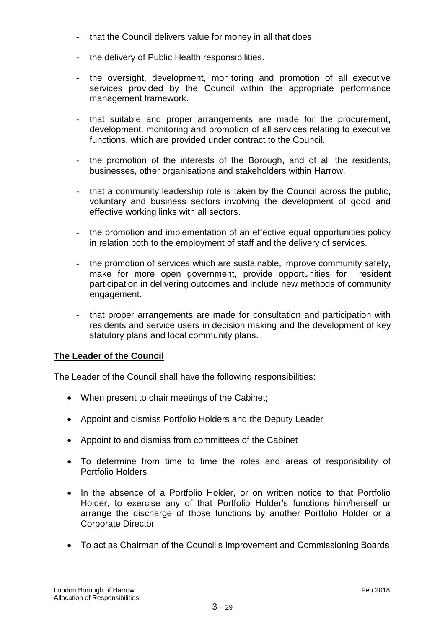- that the Council delivers value for money in all that does.
- the delivery of Public Health responsibilities.
- the oversight, development, monitoring and promotion of all executive services provided by the Council within the appropriate performance management framework.
- that suitable and proper arrangements are made for the procurement, development, monitoring and promotion of all services relating to executive functions, which are provided under contract to the Council.
- the promotion of the interests of the Borough, and of all the residents, businesses, other organisations and stakeholders within Harrow.
- that a community leadership role is taken by the Council across the public, voluntary and business sectors involving the development of good and effective working links with all sectors.
- the promotion and implementation of an effective equal opportunities policy in relation both to the employment of staff and the delivery of services.
- the promotion of services which are sustainable, improve community safety, make for more open government, provide opportunities for resident participation in delivering outcomes and include new methods of community engagement.
- that proper arrangements are made for consultation and participation with residents and service users in decision making and the development of key statutory plans and local community plans.

# **The Leader of the Council**

The Leader of the Council shall have the following responsibilities:

- When present to chair meetings of the Cabinet;
- Appoint and dismiss Portfolio Holders and the Deputy Leader
- Appoint to and dismiss from committees of the Cabinet
- To determine from time to time the roles and areas of responsibility of Portfolio Holders
- In the absence of a Portfolio Holder, or on written notice to that Portfolio Holder, to exercise any of that Portfolio Holder's functions him/herself or arrange the discharge of those functions by another Portfolio Holder or a Corporate Director
- To act as Chairman of the Council's Improvement and Commissioning Boards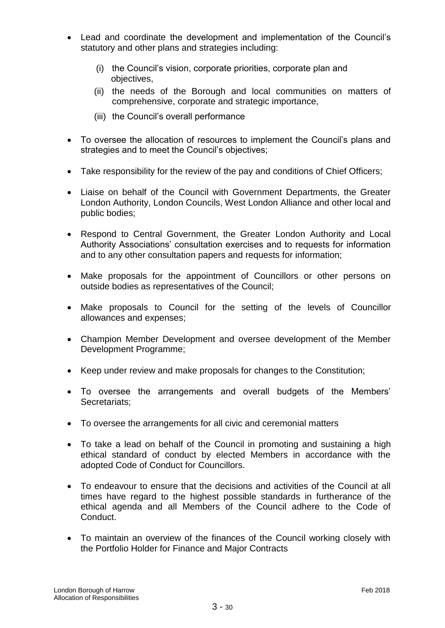- Lead and coordinate the development and implementation of the Council's statutory and other plans and strategies including:
	- (i) the Council's vision, corporate priorities, corporate plan and objectives,
	- (ii) the needs of the Borough and local communities on matters of comprehensive, corporate and strategic importance,
	- (iii) the Council's overall performance
- To oversee the allocation of resources to implement the Council's plans and strategies and to meet the Council's objectives;
- Take responsibility for the review of the pay and conditions of Chief Officers;
- Liaise on behalf of the Council with Government Departments, the Greater London Authority, London Councils, West London Alliance and other local and public bodies;
- Respond to Central Government, the Greater London Authority and Local Authority Associations' consultation exercises and to requests for information and to any other consultation papers and requests for information;
- Make proposals for the appointment of Councillors or other persons on outside bodies as representatives of the Council;
- Make proposals to Council for the setting of the levels of Councillor allowances and expenses;
- Champion Member Development and oversee development of the Member Development Programme;
- Keep under review and make proposals for changes to the Constitution;
- To oversee the arrangements and overall budgets of the Members' Secretariats;
- To oversee the arrangements for all civic and ceremonial matters
- To take a lead on behalf of the Council in promoting and sustaining a high ethical standard of conduct by elected Members in accordance with the adopted Code of Conduct for Councillors.
- To endeavour to ensure that the decisions and activities of the Council at all times have regard to the highest possible standards in furtherance of the ethical agenda and all Members of the Council adhere to the Code of Conduct.
- To maintain an overview of the finances of the Council working closely with the Portfolio Holder for Finance and Major Contracts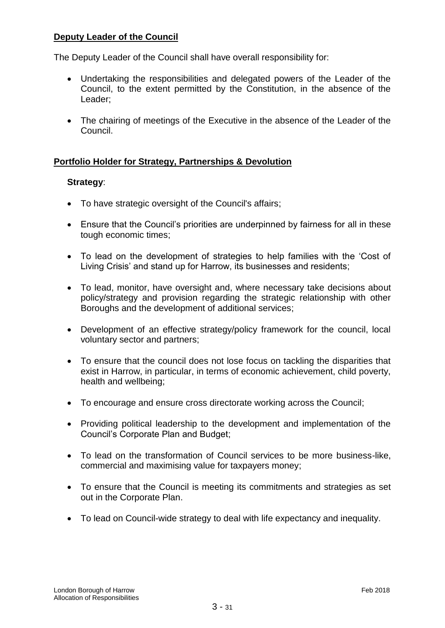# **Deputy Leader of the Council**

The Deputy Leader of the Council shall have overall responsibility for:

- Undertaking the responsibilities and delegated powers of the Leader of the Council, to the extent permitted by the Constitution, in the absence of the Leader;
- The chairing of meetings of the Executive in the absence of the Leader of the Council.

# **Portfolio Holder for Strategy, Partnerships & Devolution**

# **Strategy**:

- To have strategic oversight of the Council's affairs;
- Ensure that the Council's priorities are underpinned by fairness for all in these tough economic times;
- To lead on the development of strategies to help families with the 'Cost of Living Crisis' and stand up for Harrow, its businesses and residents;
- To lead, monitor, have oversight and, where necessary take decisions about policy/strategy and provision regarding the strategic relationship with other Boroughs and the development of additional services;
- Development of an effective strategy/policy framework for the council, local voluntary sector and partners;
- To ensure that the council does not lose focus on tackling the disparities that exist in Harrow, in particular, in terms of economic achievement, child poverty, health and wellbeing;
- To encourage and ensure cross directorate working across the Council;
- Providing political leadership to the development and implementation of the Council's Corporate Plan and Budget;
- To lead on the transformation of Council services to be more business-like, commercial and maximising value for taxpayers money;
- To ensure that the Council is meeting its commitments and strategies as set out in the Corporate Plan.
- To lead on Council-wide strategy to deal with life expectancy and inequality.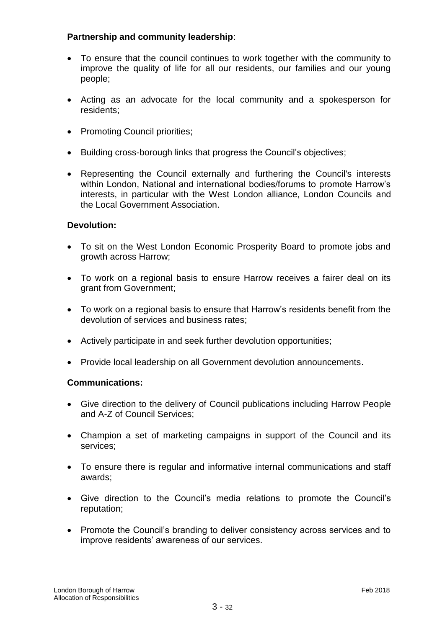# **Partnership and community leadership**:

- To ensure that the council continues to work together with the community to improve the quality of life for all our residents, our families and our young people;
- Acting as an advocate for the local community and a spokesperson for residents;
- Promoting Council priorities;
- Building cross-borough links that progress the Council's objectives;
- Representing the Council externally and furthering the Council's interests within London, National and international bodies/forums to promote Harrow's interests, in particular with the West London alliance, London Councils and the Local Government Association.

# **Devolution:**

- To sit on the West London Economic Prosperity Board to promote jobs and growth across Harrow;
- To work on a regional basis to ensure Harrow receives a fairer deal on its grant from Government;
- To work on a regional basis to ensure that Harrow's residents benefit from the devolution of services and business rates;
- Actively participate in and seek further devolution opportunities;
- Provide local leadership on all Government devolution announcements.

# **Communications:**

- Give direction to the delivery of Council publications including Harrow People and A-Z of Council Services;
- Champion a set of marketing campaigns in support of the Council and its services;
- To ensure there is regular and informative internal communications and staff awards;
- Give direction to the Council's media relations to promote the Council's reputation;
- Promote the Council's branding to deliver consistency across services and to improve residents' awareness of our services.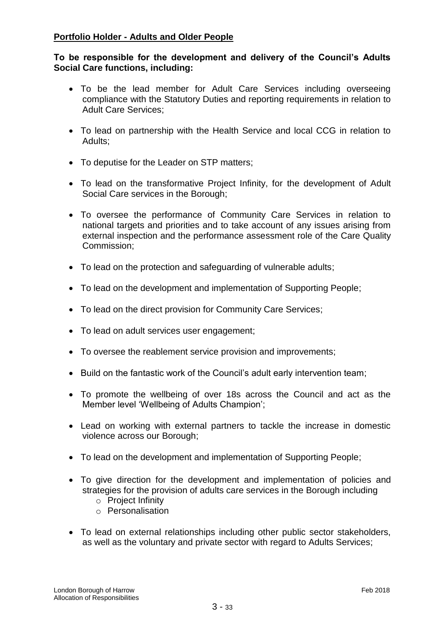# **Portfolio Holder - Adults and Older People**

# **To be responsible for the development and delivery of the Council's Adults Social Care functions, including:**

- To be the lead member for Adult Care Services including overseeing compliance with the Statutory Duties and reporting requirements in relation to Adult Care Services;
- To lead on partnership with the Health Service and local CCG in relation to Adults;
- To deputise for the Leader on STP matters;
- To lead on the transformative Project Infinity, for the development of Adult Social Care services in the Borough;
- To oversee the performance of Community Care Services in relation to national targets and priorities and to take account of any issues arising from external inspection and the performance assessment role of the Care Quality Commission;
- To lead on the protection and safeguarding of vulnerable adults;
- To lead on the development and implementation of Supporting People;
- To lead on the direct provision for Community Care Services;
- To lead on adult services user engagement;
- To oversee the reablement service provision and improvements;
- Build on the fantastic work of the Council's adult early intervention team;
- To promote the wellbeing of over 18s across the Council and act as the Member level 'Wellbeing of Adults Champion';
- Lead on working with external partners to tackle the increase in domestic violence across our Borough;
- To lead on the development and implementation of Supporting People;
- To give direction for the development and implementation of policies and strategies for the provision of adults care services in the Borough including
	- o Project Infinity
	- o Personalisation
- To lead on external relationships including other public sector stakeholders, as well as the voluntary and private sector with regard to Adults Services;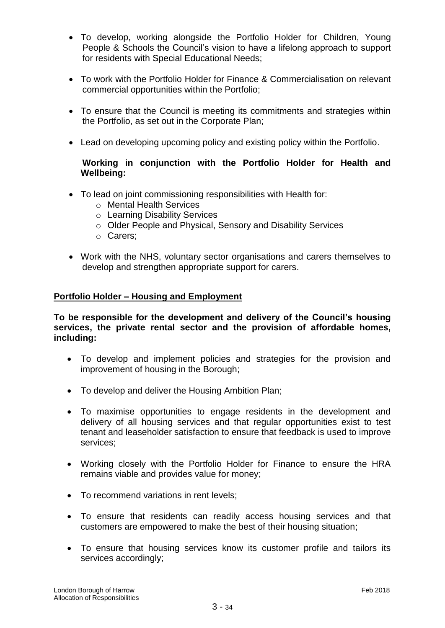- To develop, working alongside the Portfolio Holder for Children, Young People & Schools the Council's vision to have a lifelong approach to support for residents with Special Educational Needs;
- To work with the Portfolio Holder for Finance & Commercialisation on relevant commercial opportunities within the Portfolio;
- To ensure that the Council is meeting its commitments and strategies within the Portfolio, as set out in the Corporate Plan;
- Lead on developing upcoming policy and existing policy within the Portfolio.

# **Working in conjunction with the Portfolio Holder for Health and Wellbeing:**

- To lead on joint commissioning responsibilities with Health for:
	- o Mental Health Services
	- o Learning Disability Services
	- o Older People and Physical, Sensory and Disability Services
	- o Carers;
- Work with the NHS, voluntary sector organisations and carers themselves to develop and strengthen appropriate support for carers.

# **Portfolio Holder – Housing and Employment**

**To be responsible for the development and delivery of the Council's housing services, the private rental sector and the provision of affordable homes, including:** 

- To develop and implement policies and strategies for the provision and improvement of housing in the Borough;
- To develop and deliver the Housing Ambition Plan;
- To maximise opportunities to engage residents in the development and delivery of all housing services and that regular opportunities exist to test tenant and leaseholder satisfaction to ensure that feedback is used to improve services;
- Working closely with the Portfolio Holder for Finance to ensure the HRA remains viable and provides value for money;
- To recommend variations in rent levels;
- To ensure that residents can readily access housing services and that customers are empowered to make the best of their housing situation;
- To ensure that housing services know its customer profile and tailors its services accordingly;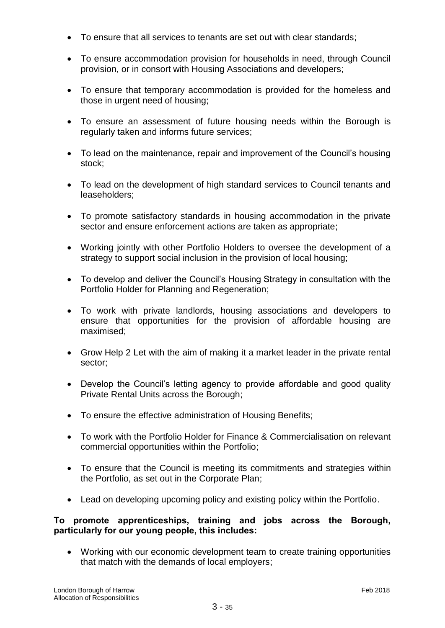- To ensure that all services to tenants are set out with clear standards;
- To ensure accommodation provision for households in need, through Council provision, or in consort with Housing Associations and developers;
- To ensure that temporary accommodation is provided for the homeless and those in urgent need of housing;
- To ensure an assessment of future housing needs within the Borough is regularly taken and informs future services;
- To lead on the maintenance, repair and improvement of the Council's housing stock;
- To lead on the development of high standard services to Council tenants and leaseholders;
- To promote satisfactory standards in housing accommodation in the private sector and ensure enforcement actions are taken as appropriate;
- Working jointly with other Portfolio Holders to oversee the development of a strategy to support social inclusion in the provision of local housing;
- To develop and deliver the Council's Housing Strategy in consultation with the Portfolio Holder for Planning and Regeneration;
- To work with private landlords, housing associations and developers to ensure that opportunities for the provision of affordable housing are maximised;
- Grow Help 2 Let with the aim of making it a market leader in the private rental sector;
- Develop the Council's letting agency to provide affordable and good quality Private Rental Units across the Borough;
- To ensure the effective administration of Housing Benefits;
- To work with the Portfolio Holder for Finance & Commercialisation on relevant commercial opportunities within the Portfolio;
- To ensure that the Council is meeting its commitments and strategies within the Portfolio, as set out in the Corporate Plan;
- Lead on developing upcoming policy and existing policy within the Portfolio.

# **To promote apprenticeships, training and jobs across the Borough, particularly for our young people, this includes:**

 Working with our economic development team to create training opportunities that match with the demands of local employers;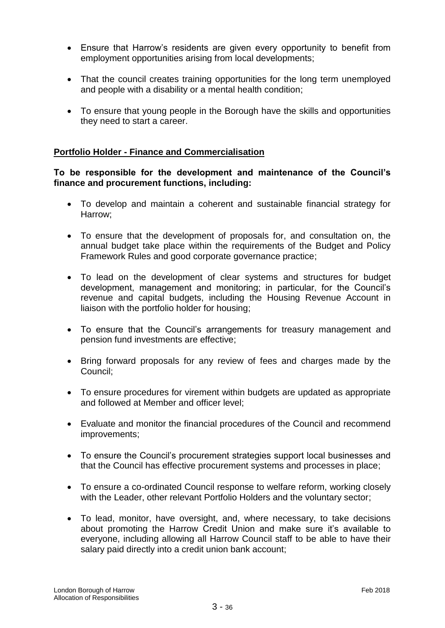- Ensure that Harrow's residents are given every opportunity to benefit from employment opportunities arising from local developments;
- That the council creates training opportunities for the long term unemployed and people with a disability or a mental health condition;
- To ensure that young people in the Borough have the skills and opportunities they need to start a career.

# **Portfolio Holder - Finance and Commercialisation**

# **To be responsible for the development and maintenance of the Council's finance and procurement functions, including:**

- To develop and maintain a coherent and sustainable financial strategy for Harrow;
- To ensure that the development of proposals for, and consultation on, the annual budget take place within the requirements of the Budget and Policy Framework Rules and good corporate governance practice;
- To lead on the development of clear systems and structures for budget development, management and monitoring; in particular, for the Council's revenue and capital budgets, including the Housing Revenue Account in liaison with the portfolio holder for housing;
- To ensure that the Council's arrangements for treasury management and pension fund investments are effective;
- Bring forward proposals for any review of fees and charges made by the Council;
- To ensure procedures for virement within budgets are updated as appropriate and followed at Member and officer level;
- Evaluate and monitor the financial procedures of the Council and recommend improvements;
- To ensure the Council's procurement strategies support local businesses and that the Council has effective procurement systems and processes in place;
- To ensure a co-ordinated Council response to welfare reform, working closely with the Leader, other relevant Portfolio Holders and the voluntary sector;
- To lead, monitor, have oversight, and, where necessary, to take decisions about promoting the Harrow Credit Union and make sure it's available to everyone, including allowing all Harrow Council staff to be able to have their salary paid directly into a credit union bank account;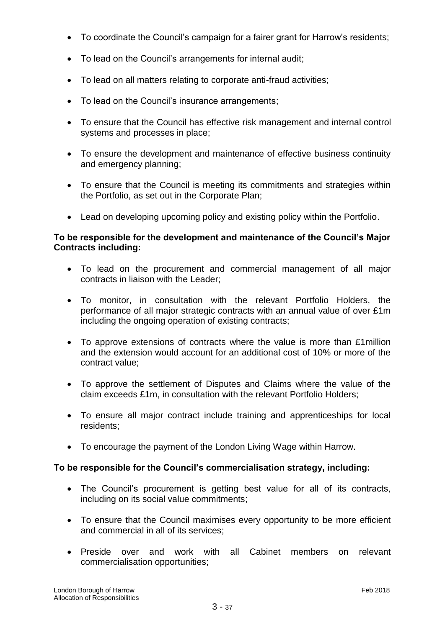- To coordinate the Council's campaign for a fairer grant for Harrow's residents;
- To lead on the Council's arrangements for internal audit;
- To lead on all matters relating to corporate anti-fraud activities;
- To lead on the Council's insurance arrangements;
- To ensure that the Council has effective risk management and internal control systems and processes in place;
- To ensure the development and maintenance of effective business continuity and emergency planning;
- To ensure that the Council is meeting its commitments and strategies within the Portfolio, as set out in the Corporate Plan;
- Lead on developing upcoming policy and existing policy within the Portfolio.

# **To be responsible for the development and maintenance of the Council's Major Contracts including:**

- To lead on the procurement and commercial management of all major contracts in liaison with the Leader;
- To monitor, in consultation with the relevant Portfolio Holders, the performance of all major strategic contracts with an annual value of over £1m including the ongoing operation of existing contracts;
- To approve extensions of contracts where the value is more than £1million and the extension would account for an additional cost of 10% or more of the contract value;
- To approve the settlement of Disputes and Claims where the value of the claim exceeds £1m, in consultation with the relevant Portfolio Holders;
- To ensure all major contract include training and apprenticeships for local residents;
- To encourage the payment of the London Living Wage within Harrow.

# **To be responsible for the Council's commercialisation strategy, including:**

- The Council's procurement is getting best value for all of its contracts, including on its social value commitments;
- To ensure that the Council maximises every opportunity to be more efficient and commercial in all of its services;
- Preside over and work with all Cabinet members on relevant commercialisation opportunities;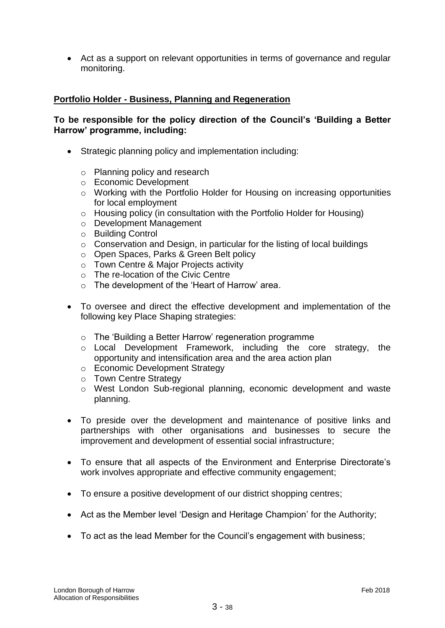Act as a support on relevant opportunities in terms of governance and regular monitoring.

# **Portfolio Holder - Business, Planning and Regeneration**

# **To be responsible for the policy direction of the Council's 'Building a Better Harrow' programme, including:**

- Strategic planning policy and implementation including:
	- o Planning policy and research
	- o Economic Development
	- o Working with the Portfolio Holder for Housing on increasing opportunities for local employment
	- o Housing policy (in consultation with the Portfolio Holder for Housing)
	- o Development Management
	- o Building Control
	- o Conservation and Design, in particular for the listing of local buildings
	- o Open Spaces, Parks & Green Belt policy
	- o Town Centre & Major Projects activity
	- o The re-location of the Civic Centre
	- o The development of the 'Heart of Harrow' area.
- To oversee and direct the effective development and implementation of the following key Place Shaping strategies:
	- o The 'Building a Better Harrow' regeneration programme
	- o Local Development Framework, including the core strategy, the opportunity and intensification area and the area action plan
	- o Economic Development Strategy
	- o Town Centre Strategy
	- o West London Sub-regional planning, economic development and waste planning.
- To preside over the development and maintenance of positive links and partnerships with other organisations and businesses to secure the improvement and development of essential social infrastructure;
- To ensure that all aspects of the Environment and Enterprise Directorate's work involves appropriate and effective community engagement;
- To ensure a positive development of our district shopping centres;
- Act as the Member level 'Design and Heritage Champion' for the Authority;
- To act as the lead Member for the Council's engagement with business;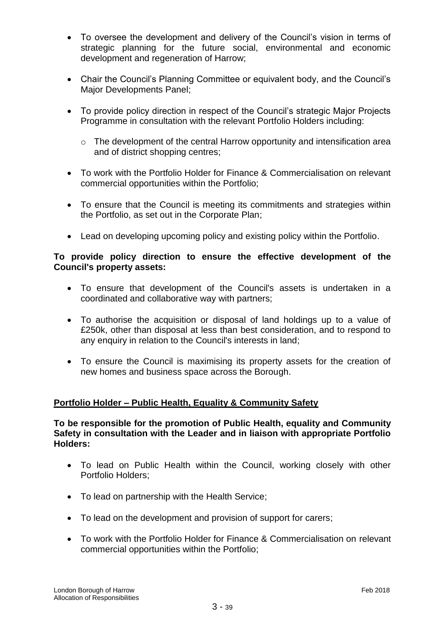- To oversee the development and delivery of the Council's vision in terms of strategic planning for the future social, environmental and economic development and regeneration of Harrow;
- Chair the Council's Planning Committee or equivalent body, and the Council's Major Developments Panel;
- To provide policy direction in respect of the Council's strategic Major Projects Programme in consultation with the relevant Portfolio Holders including:
	- o The development of the central Harrow opportunity and intensification area and of district shopping centres;
- To work with the Portfolio Holder for Finance & Commercialisation on relevant commercial opportunities within the Portfolio;
- To ensure that the Council is meeting its commitments and strategies within the Portfolio, as set out in the Corporate Plan;
- Lead on developing upcoming policy and existing policy within the Portfolio.

# **To provide policy direction to ensure the effective development of the Council's property assets:**

- To ensure that development of the Council's assets is undertaken in a coordinated and collaborative way with partners;
- To authorise the acquisition or disposal of land holdings up to a value of £250k, other than disposal at less than best consideration, and to respond to any enquiry in relation to the Council's interests in land;
- To ensure the Council is maximising its property assets for the creation of new homes and business space across the Borough.

# **Portfolio Holder – Public Health, Equality & Community Safety**

### **To be responsible for the promotion of Public Health, equality and Community Safety in consultation with the Leader and in liaison with appropriate Portfolio Holders:**

- To lead on Public Health within the Council, working closely with other Portfolio Holders;
- To lead on partnership with the Health Service;
- To lead on the development and provision of support for carers;
- To work with the Portfolio Holder for Finance & Commercialisation on relevant commercial opportunities within the Portfolio;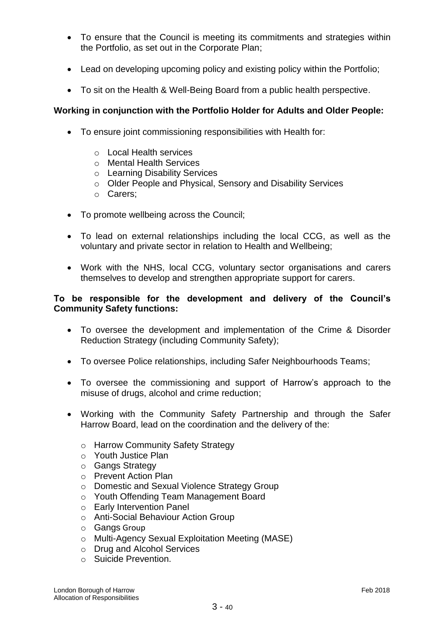- To ensure that the Council is meeting its commitments and strategies within the Portfolio, as set out in the Corporate Plan;
- Lead on developing upcoming policy and existing policy within the Portfolio;
- To sit on the Health & Well-Being Board from a public health perspective.

# **Working in conjunction with the Portfolio Holder for Adults and Older People:**

- To ensure joint commissioning responsibilities with Health for:
	- o Local Health services
	- o Mental Health Services
	- o Learning Disability Services
	- o Older People and Physical, Sensory and Disability Services
	- o Carers;
- To promote wellbeing across the Council;
- To lead on external relationships including the local CCG, as well as the voluntary and private sector in relation to Health and Wellbeing;
- Work with the NHS, local CCG, voluntary sector organisations and carers themselves to develop and strengthen appropriate support for carers.

### **To be responsible for the development and delivery of the Council's Community Safety functions:**

- To oversee the development and implementation of the Crime & Disorder Reduction Strategy (including Community Safety);
- To oversee Police relationships, including Safer Neighbourhoods Teams;
- To oversee the commissioning and support of Harrow's approach to the misuse of drugs, alcohol and crime reduction;
- Working with the Community Safety Partnership and through the Safer Harrow Board, lead on the coordination and the delivery of the:
	- o Harrow Community Safety Strategy
	- o Youth Justice Plan
	- o Gangs Strategy
	- o Prevent Action Plan
	- o Domestic and Sexual Violence Strategy Group
	- o Youth Offending Team Management Board
	- o Early Intervention Panel
	- o Anti-Social Behaviour Action Group
	- o Gangs Group
	- o Multi-Agency Sexual Exploitation Meeting (MASE)
	- o Drug and Alcohol Services
	- o Suicide Prevention.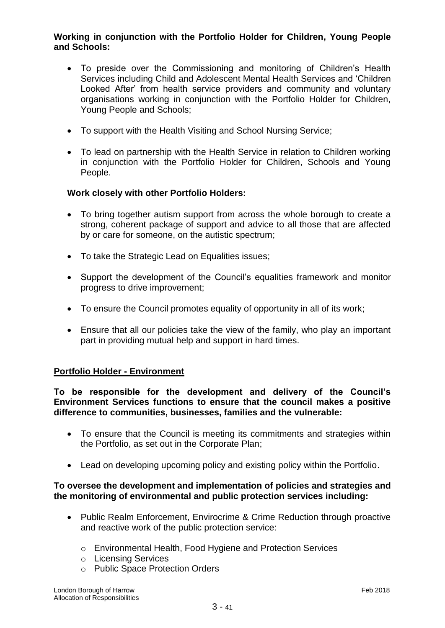# **Working in conjunction with the Portfolio Holder for Children, Young People and Schools:**

- To preside over the Commissioning and monitoring of Children's Health Services including Child and Adolescent Mental Health Services and 'Children Looked After' from health service providers and community and voluntary organisations working in conjunction with the Portfolio Holder for Children, Young People and Schools;
- To support with the Health Visiting and School Nursing Service;
- To lead on partnership with the Health Service in relation to Children working in conjunction with the Portfolio Holder for Children, Schools and Young People.

# **Work closely with other Portfolio Holders:**

- To bring together autism support from across the whole borough to create a strong, coherent package of support and advice to all those that are affected by or care for someone, on the autistic spectrum;
- To take the Strategic Lead on Equalities issues;
- Support the development of the Council's equalities framework and monitor progress to drive improvement;
- To ensure the Council promotes equality of opportunity in all of its work;
- Ensure that all our policies take the view of the family, who play an important part in providing mutual help and support in hard times.

# **Portfolio Holder - Environment**

**To be responsible for the development and delivery of the Council's Environment Services functions to ensure that the council makes a positive difference to communities, businesses, families and the vulnerable:**

- To ensure that the Council is meeting its commitments and strategies within the Portfolio, as set out in the Corporate Plan;
- Lead on developing upcoming policy and existing policy within the Portfolio.

#### **To oversee the development and implementation of policies and strategies and the monitoring of environmental and public protection services including:**

- Public Realm Enforcement, Envirocrime & Crime Reduction through proactive and reactive work of the public protection service:
	- o Environmental Health, Food Hygiene and Protection Services
	- o Licensing Services
	- o Public Space Protection Orders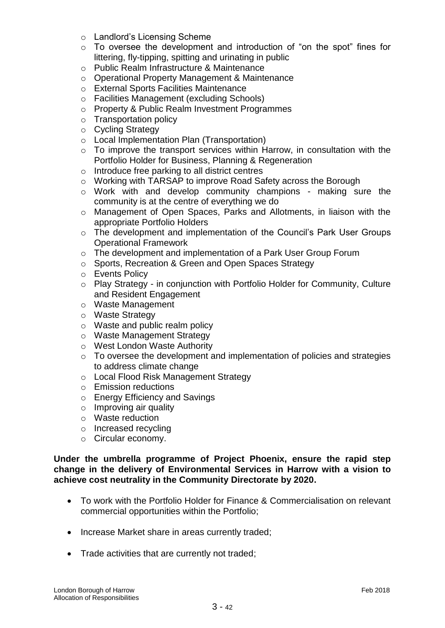- o Landlord's Licensing Scheme
- o To oversee the development and introduction of "on the spot" fines for littering, fly-tipping, spitting and urinating in public
- o Public Realm Infrastructure & Maintenance
- o Operational Property Management & Maintenance
- o External Sports Facilities Maintenance
- o Facilities Management (excluding Schools)
- o Property & Public Realm Investment Programmes
- o Transportation policy
- o Cycling Strategy
- o Local Implementation Plan (Transportation)
- o To improve the transport services within Harrow, in consultation with the Portfolio Holder for Business, Planning & Regeneration
- o Introduce free parking to all district centres
- o Working with TARSAP to improve Road Safety across the Borough
- o Work with and develop community champions making sure the community is at the centre of everything we do
- o Management of Open Spaces, Parks and Allotments, in liaison with the appropriate Portfolio Holders
- o The development and implementation of the Council's Park User Groups Operational Framework
- o The development and implementation of a Park User Group Forum
- o Sports, Recreation & Green and Open Spaces Strategy
- o Events Policy
- o Play Strategy in conjunction with Portfolio Holder for Community, Culture and Resident Engagement
- o Waste Management
- o Waste Strategy
- o Waste and public realm policy
- o Waste Management Strategy
- o West London Waste Authority
- o To oversee the development and implementation of policies and strategies to address climate change
- o Local Flood Risk Management Strategy
- o Emission reductions
- o Energy Efficiency and Savings
- o Improving air quality
- o Waste reduction
- o Increased recycling
- o Circular economy.

#### **Under the umbrella programme of Project Phoenix, ensure the rapid step change in the delivery of Environmental Services in Harrow with a vision to achieve cost neutrality in the Community Directorate by 2020.**

- To work with the Portfolio Holder for Finance & Commercialisation on relevant commercial opportunities within the Portfolio;
- Increase Market share in areas currently traded;
- Trade activities that are currently not traded;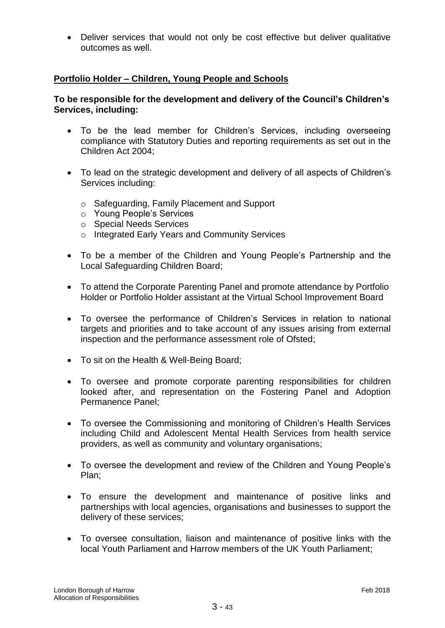Deliver services that would not only be cost effective but deliver qualitative outcomes as well.

# **Portfolio Holder – Children, Young People and Schools**

# **To be responsible for the development and delivery of the Council's Children's Services, including:**

- To be the lead member for Children's Services, including overseeing compliance with Statutory Duties and reporting requirements as set out in the Children Act 2004;
- To lead on the strategic development and delivery of all aspects of Children's Services including:
	- o Safeguarding, Family Placement and Support
	- o Young People's Services
	- o Special Needs Services
	- o Integrated Early Years and Community Services
- To be a member of the Children and Young People's Partnership and the Local Safeguarding Children Board;
- To attend the Corporate Parenting Panel and promote attendance by Portfolio Holder or Portfolio Holder assistant at the Virtual School Improvement Board
- To oversee the performance of Children's Services in relation to national targets and priorities and to take account of any issues arising from external inspection and the performance assessment role of Ofsted;
- To sit on the Health & Well-Being Board;
- To oversee and promote corporate parenting responsibilities for children looked after, and representation on the Fostering Panel and Adoption Permanence Panel;
- To oversee the Commissioning and monitoring of Children's Health Services including Child and Adolescent Mental Health Services from health service providers, as well as community and voluntary organisations;
- To oversee the development and review of the Children and Young People's Plan;
- To ensure the development and maintenance of positive links and partnerships with local agencies, organisations and businesses to support the delivery of these services;
- To oversee consultation, liaison and maintenance of positive links with the local Youth Parliament and Harrow members of the UK Youth Parliament;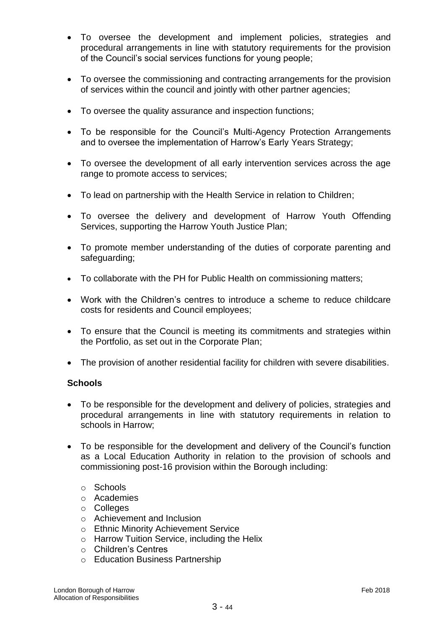- To oversee the development and implement policies, strategies and procedural arrangements in line with statutory requirements for the provision of the Council's social services functions for young people;
- To oversee the commissioning and contracting arrangements for the provision of services within the council and jointly with other partner agencies;
- To oversee the quality assurance and inspection functions;
- To be responsible for the Council's Multi-Agency Protection Arrangements and to oversee the implementation of Harrow's Early Years Strategy;
- To oversee the development of all early intervention services across the age range to promote access to services;
- To lead on partnership with the Health Service in relation to Children;
- To oversee the delivery and development of Harrow Youth Offending Services, supporting the Harrow Youth Justice Plan;
- To promote member understanding of the duties of corporate parenting and safeguarding;
- To collaborate with the PH for Public Health on commissioning matters;
- Work with the Children's centres to introduce a scheme to reduce childcare costs for residents and Council employees;
- To ensure that the Council is meeting its commitments and strategies within the Portfolio, as set out in the Corporate Plan;
- The provision of another residential facility for children with severe disabilities.

# **Schools**

- To be responsible for the development and delivery of policies, strategies and procedural arrangements in line with statutory requirements in relation to schools in Harrow;
- To be responsible for the development and delivery of the Council's function as a Local Education Authority in relation to the provision of schools and commissioning post-16 provision within the Borough including:
	- o Schools
	- o Academies
	- o Colleges
	- o Achievement and Inclusion
	- o Ethnic Minority Achievement Service
	- o Harrow Tuition Service, including the Helix
	- o Children's Centres
	- o Education Business Partnership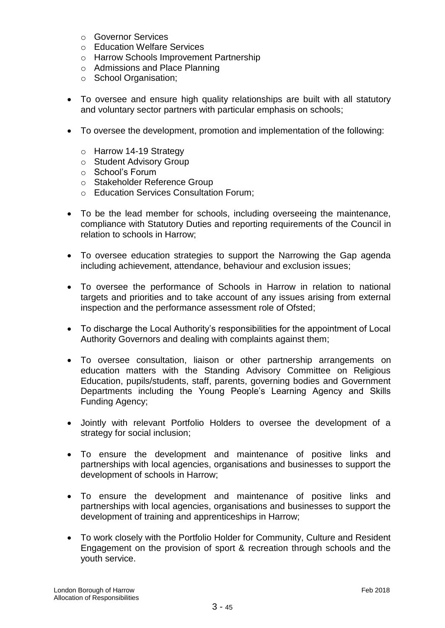- o Governor Services
- o Education Welfare Services
- o Harrow Schools Improvement Partnership
- o Admissions and Place Planning
- o School Organisation;
- To oversee and ensure high quality relationships are built with all statutory and voluntary sector partners with particular emphasis on schools;
- To oversee the development, promotion and implementation of the following:
	- o Harrow 14-19 Strategy
	- o Student Advisory Group
	- o School's Forum
	- o Stakeholder Reference Group
	- o Education Services Consultation Forum;
- To be the lead member for schools, including overseeing the maintenance, compliance with Statutory Duties and reporting requirements of the Council in relation to schools in Harrow;
- To oversee education strategies to support the Narrowing the Gap agenda including achievement, attendance, behaviour and exclusion issues;
- To oversee the performance of Schools in Harrow in relation to national targets and priorities and to take account of any issues arising from external inspection and the performance assessment role of Ofsted;
- To discharge the Local Authority's responsibilities for the appointment of Local Authority Governors and dealing with complaints against them;
- To oversee consultation, liaison or other partnership arrangements on education matters with the Standing Advisory Committee on Religious Education, pupils/students, staff, parents, governing bodies and Government Departments including the Young People's Learning Agency and Skills Funding Agency;
- Jointly with relevant Portfolio Holders to oversee the development of a strategy for social inclusion;
- To ensure the development and maintenance of positive links and partnerships with local agencies, organisations and businesses to support the development of schools in Harrow;
- To ensure the development and maintenance of positive links and partnerships with local agencies, organisations and businesses to support the development of training and apprenticeships in Harrow;
- To work closely with the Portfolio Holder for Community, Culture and Resident Engagement on the provision of sport & recreation through schools and the youth service.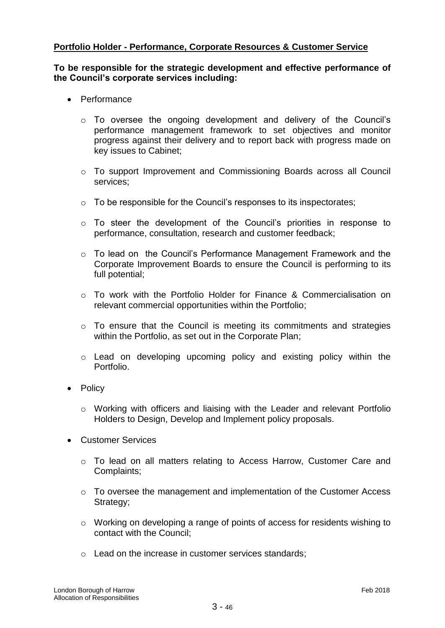# **Portfolio Holder - Performance, Corporate Resources & Customer Service**

### **To be responsible for the strategic development and effective performance of the Council's corporate services including:**

- Performance
	- o To oversee the ongoing development and delivery of the Council's performance management framework to set objectives and monitor progress against their delivery and to report back with progress made on key issues to Cabinet;
	- $\circ$  To support Improvement and Commissioning Boards across all Council services;
	- o To be responsible for the Council's responses to its inspectorates;
	- o To steer the development of the Council's priorities in response to performance, consultation, research and customer feedback;
	- o To lead on the Council's Performance Management Framework and the Corporate Improvement Boards to ensure the Council is performing to its full potential;
	- $\circ$  To work with the Portfolio Holder for Finance & Commercialisation on relevant commercial opportunities within the Portfolio;
	- o To ensure that the Council is meeting its commitments and strategies within the Portfolio, as set out in the Corporate Plan;
	- o Lead on developing upcoming policy and existing policy within the Portfolio.
- Policy
	- o Working with officers and liaising with the Leader and relevant Portfolio Holders to Design, Develop and Implement policy proposals.
- Customer Services
	- o To lead on all matters relating to Access Harrow, Customer Care and Complaints;
	- $\circ$  To oversee the management and implementation of the Customer Access Strategy;
	- o Working on developing a range of points of access for residents wishing to contact with the Council;
	- o Lead on the increase in customer services standards;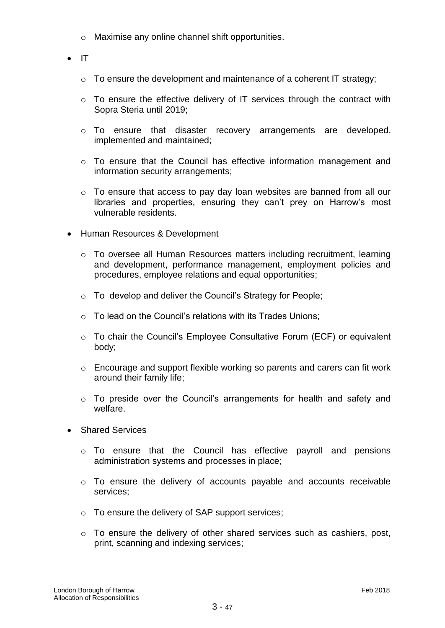- o Maximise any online channel shift opportunities.
- $\bullet$  IT
	- o To ensure the development and maintenance of a coherent IT strategy;
	- o To ensure the effective delivery of IT services through the contract with Sopra Steria until 2019;
	- o To ensure that disaster recovery arrangements are developed, implemented and maintained;
	- o To ensure that the Council has effective information management and information security arrangements;
	- o To ensure that access to pay day loan websites are banned from all our libraries and properties, ensuring they can't prey on Harrow's most vulnerable residents.
- Human Resources & Development
	- o To oversee all Human Resources matters including recruitment, learning and development, performance management, employment policies and procedures, employee relations and equal opportunities;
	- o To develop and deliver the Council's Strategy for People;
	- $\circ$  To lead on the Council's relations with its Trades Unions;
	- o To chair the Council's Employee Consultative Forum (ECF) or equivalent body;
	- o Encourage and support flexible working so parents and carers can fit work around their family life;
	- o To preside over the Council's arrangements for health and safety and welfare.
- Shared Services
	- o To ensure that the Council has effective payroll and pensions administration systems and processes in place;
	- o To ensure the delivery of accounts payable and accounts receivable services;
	- o To ensure the delivery of SAP support services;
	- o To ensure the delivery of other shared services such as cashiers, post, print, scanning and indexing services;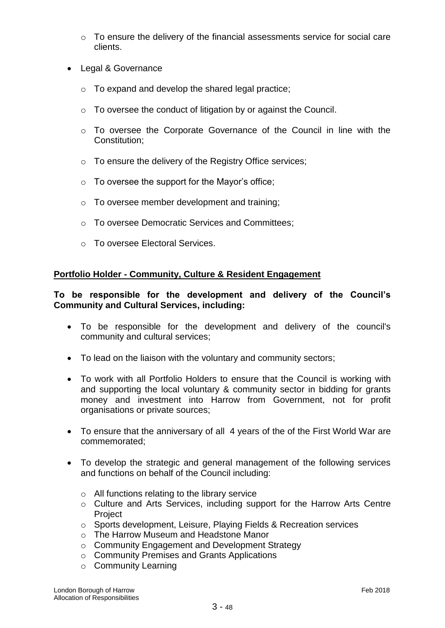- o To ensure the delivery of the financial assessments service for social care clients.
- Legal & Governance
	- o To expand and develop the shared legal practice;
	- o To oversee the conduct of litigation by or against the Council.
	- o To oversee the Corporate Governance of the Council in line with the Constitution;
	- o To ensure the delivery of the Registry Office services;
	- $\circ$  To oversee the support for the Mayor's office;
	- o To oversee member development and training;
	- o To oversee Democratic Services and Committees;
	- o To oversee Electoral Services.

# **Portfolio Holder - Community, Culture & Resident Engagement**

# **To be responsible for the development and delivery of the Council's Community and Cultural Services, including:**

- To be responsible for the development and delivery of the council's community and cultural services;
- To lead on the liaison with the voluntary and community sectors;
- To work with all Portfolio Holders to ensure that the Council is working with and supporting the local voluntary & community sector in bidding for grants money and investment into Harrow from Government, not for profit organisations or private sources;
- To ensure that the anniversary of all 4 years of the of the First World War are commemorated;
- To develop the strategic and general management of the following services and functions on behalf of the Council including:
	- o All functions relating to the library service
	- o Culture and Arts Services, including support for the Harrow Arts Centre **Project**
	- o Sports development, Leisure, Playing Fields & Recreation services
	- o The Harrow Museum and Headstone Manor
	- o Community Engagement and Development Strategy
	- o Community Premises and Grants Applications
	- o Community Learning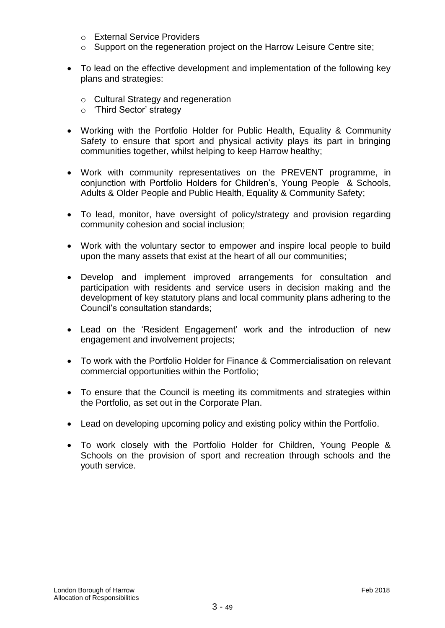- o External Service Providers
- o Support on the regeneration project on the Harrow Leisure Centre site;
- To lead on the effective development and implementation of the following key plans and strategies:
	- o Cultural Strategy and regeneration
	- o 'Third Sector' strategy
- Working with the Portfolio Holder for Public Health, Equality & Community Safety to ensure that sport and physical activity plays its part in bringing communities together, whilst helping to keep Harrow healthy;
- Work with community representatives on the PREVENT programme, in conjunction with Portfolio Holders for Children's, Young People & Schools, Adults & Older People and Public Health, Equality & Community Safety;
- To lead, monitor, have oversight of policy/strategy and provision regarding community cohesion and social inclusion;
- Work with the voluntary sector to empower and inspire local people to build upon the many assets that exist at the heart of all our communities;
- Develop and implement improved arrangements for consultation and participation with residents and service users in decision making and the development of key statutory plans and local community plans adhering to the Council's consultation standards;
- Lead on the 'Resident Engagement' work and the introduction of new engagement and involvement projects;
- To work with the Portfolio Holder for Finance & Commercialisation on relevant commercial opportunities within the Portfolio;
- To ensure that the Council is meeting its commitments and strategies within the Portfolio, as set out in the Corporate Plan.
- Lead on developing upcoming policy and existing policy within the Portfolio.
- To work closely with the Portfolio Holder for Children, Young People & Schools on the provision of sport and recreation through schools and the youth service.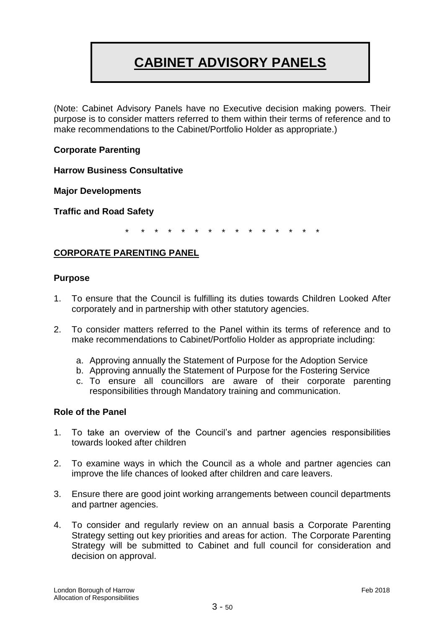# **CABINET ADVISORY PANELS**

(Note: Cabinet Advisory Panels have no Executive decision making powers. Their purpose is to consider matters referred to them within their terms of reference and to make recommendations to the Cabinet/Portfolio Holder as appropriate.)

# **Corporate Parenting**

**Harrow Business Consultative** 

**Major Developments**

**Traffic and Road Safety**

\* \* \* \* \* \* \* \* \* \* \* \* \* \* \*

# **CORPORATE PARENTING PANEL**

#### **Purpose**

- 1. To ensure that the Council is fulfilling its duties towards Children Looked After corporately and in partnership with other statutory agencies.
- 2. To consider matters referred to the Panel within its terms of reference and to make recommendations to Cabinet/Portfolio Holder as appropriate including:
	- a. Approving annually the Statement of Purpose for the Adoption Service
	- b. Approving annually the Statement of Purpose for the Fostering Service
	- c. To ensure all councillors are aware of their corporate parenting responsibilities through Mandatory training and communication.

#### **Role of the Panel**

- 1. To take an overview of the Council's and partner agencies responsibilities towards looked after children
- 2. To examine ways in which the Council as a whole and partner agencies can improve the life chances of looked after children and care leavers.
- 3. Ensure there are good joint working arrangements between council departments and partner agencies.
- 4. To consider and regularly review on an annual basis a Corporate Parenting Strategy setting out key priorities and areas for action. The Corporate Parenting Strategy will be submitted to Cabinet and full council for consideration and decision on approval.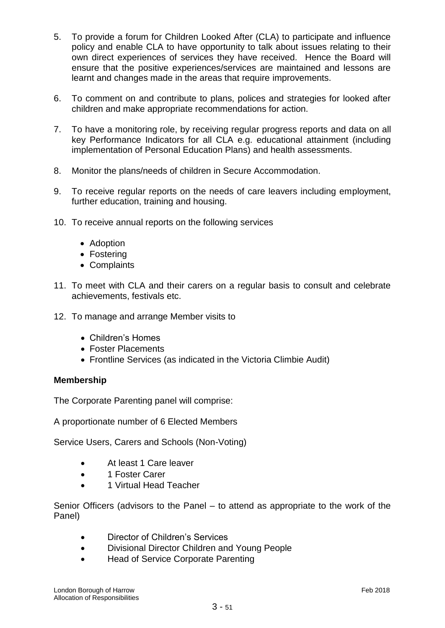- 5. To provide a forum for Children Looked After (CLA) to participate and influence policy and enable CLA to have opportunity to talk about issues relating to their own direct experiences of services they have received. Hence the Board will ensure that the positive experiences/services are maintained and lessons are learnt and changes made in the areas that require improvements.
- 6. To comment on and contribute to plans, polices and strategies for looked after children and make appropriate recommendations for action.
- 7. To have a monitoring role, by receiving regular progress reports and data on all key Performance Indicators for all CLA e.g. educational attainment (including implementation of Personal Education Plans) and health assessments.
- 8. Monitor the plans/needs of children in Secure Accommodation.
- 9. To receive regular reports on the needs of care leavers including employment, further education, training and housing.
- 10. To receive annual reports on the following services
	- Adoption
	- Fostering
	- Complaints
- 11. To meet with CLA and their carers on a regular basis to consult and celebrate achievements, festivals etc.
- 12. To manage and arrange Member visits to
	- Children's Homes
	- Foster Placements
	- Frontline Services (as indicated in the Victoria Climbie Audit)

# **Membership**

The Corporate Parenting panel will comprise:

A proportionate number of 6 Elected Members

Service Users, Carers and Schools (Non-Voting)

- At least 1 Care leaver
- 1 Foster Carer
- 1 Virtual Head Teacher

Senior Officers (advisors to the Panel – to attend as appropriate to the work of the Panel)

- Director of Children's Services
- Divisional Director Children and Young People
- Head of Service Corporate Parenting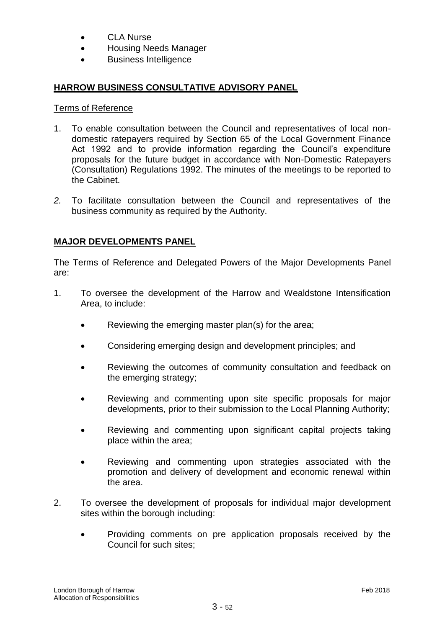- CLA Nurse
- Housing Needs Manager
- Business Intelligence

# **HARROW BUSINESS CONSULTATIVE ADVISORY PANEL**

#### Terms of Reference

- 1. To enable consultation between the Council and representatives of local nondomestic ratepayers required by Section 65 of the Local Government Finance Act 1992 and to provide information regarding the Council's expenditure proposals for the future budget in accordance with Non-Domestic Ratepayers (Consultation) Regulations 1992. The minutes of the meetings to be reported to the Cabinet.
- *2.* To facilitate consultation between the Council and representatives of the business community as required by the Authority.

# **MAJOR DEVELOPMENTS PANEL**

The Terms of Reference and Delegated Powers of the Major Developments Panel are:

- 1. To oversee the development of the Harrow and Wealdstone Intensification Area, to include:
	- Reviewing the emerging master plan(s) for the area;
	- Considering emerging design and development principles; and
	- Reviewing the outcomes of community consultation and feedback on the emerging strategy;
	- Reviewing and commenting upon site specific proposals for major developments, prior to their submission to the Local Planning Authority;
	- Reviewing and commenting upon significant capital projects taking place within the area;
	- Reviewing and commenting upon strategies associated with the promotion and delivery of development and economic renewal within the area.
- 2. To oversee the development of proposals for individual major development sites within the borough including:
	- Providing comments on pre application proposals received by the Council for such sites;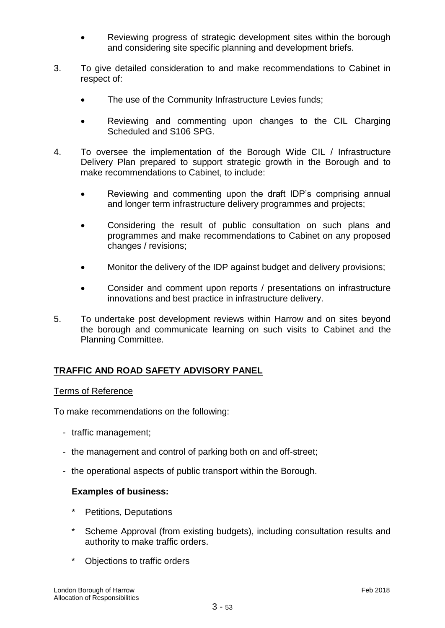- Reviewing progress of strategic development sites within the borough and considering site specific planning and development briefs.
- 3. To give detailed consideration to and make recommendations to Cabinet in respect of:
	- The use of the Community Infrastructure Levies funds;
	- Reviewing and commenting upon changes to the CIL Charging Scheduled and S106 SPG.
- 4. To oversee the implementation of the Borough Wide CIL / Infrastructure Delivery Plan prepared to support strategic growth in the Borough and to make recommendations to Cabinet, to include:
	- Reviewing and commenting upon the draft IDP's comprising annual and longer term infrastructure delivery programmes and projects;
	- Considering the result of public consultation on such plans and programmes and make recommendations to Cabinet on any proposed changes / revisions;
	- Monitor the delivery of the IDP against budget and delivery provisions;
	- Consider and comment upon reports / presentations on infrastructure innovations and best practice in infrastructure delivery.
- 5. To undertake post development reviews within Harrow and on sites beyond the borough and communicate learning on such visits to Cabinet and the Planning Committee.

# **TRAFFIC AND ROAD SAFETY ADVISORY PANEL**

#### Terms of Reference

To make recommendations on the following:

- traffic management;
- the management and control of parking both on and off-street;
- the operational aspects of public transport within the Borough.

# **Examples of business:**

- Petitions, Deputations
- Scheme Approval (from existing budgets), including consultation results and authority to make traffic orders.
- \* Objections to traffic orders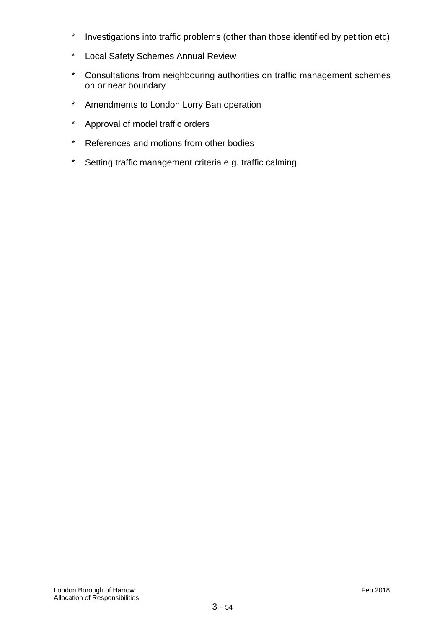- \* Investigations into traffic problems (other than those identified by petition etc)
- \* Local Safety Schemes Annual Review
- \* Consultations from neighbouring authorities on traffic management schemes on or near boundary
- \* Amendments to London Lorry Ban operation
- \* Approval of model traffic orders
- \* References and motions from other bodies
- \* Setting traffic management criteria e.g. traffic calming.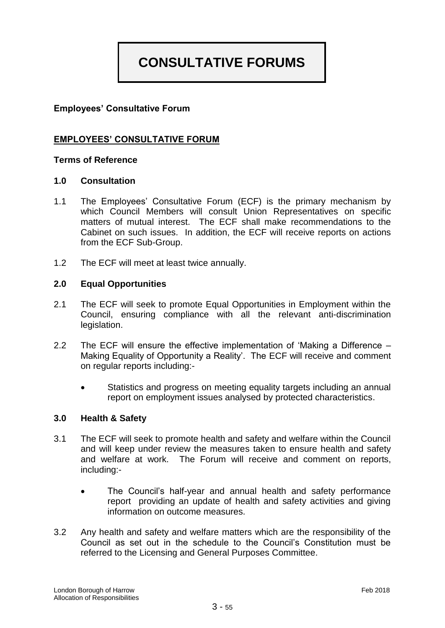# **CONSULTATIVE FORUMS**

# **Employees' Consultative Forum**

# **EMPLOYEES' CONSULTATIVE FORUM**

# **Terms of Reference**

#### **1.0 Consultation**

- 1.1 The Employees' Consultative Forum (ECF) is the primary mechanism by which Council Members will consult Union Representatives on specific matters of mutual interest. The ECF shall make recommendations to the Cabinet on such issues. In addition, the ECF will receive reports on actions from the ECF Sub-Group.
- 1.2 The ECF will meet at least twice annually.

#### **2.0 Equal Opportunities**

- 2.1 The ECF will seek to promote Equal Opportunities in Employment within the Council, ensuring compliance with all the relevant anti-discrimination legislation.
- 2.2 The ECF will ensure the effective implementation of 'Making a Difference Making Equality of Opportunity a Reality'. The ECF will receive and comment on regular reports including:-
	- Statistics and progress on meeting equality targets including an annual report on employment issues analysed by protected characteristics.

#### **3.0 Health & Safety**

- 3.1 The ECF will seek to promote health and safety and welfare within the Council and will keep under review the measures taken to ensure health and safety and welfare at work. The Forum will receive and comment on reports, including:-
	- The Council's half-year and annual health and safety performance report providing an update of health and safety activities and giving information on outcome measures.
- 3.2 Any health and safety and welfare matters which are the responsibility of the Council as set out in the schedule to the Council's Constitution must be referred to the Licensing and General Purposes Committee.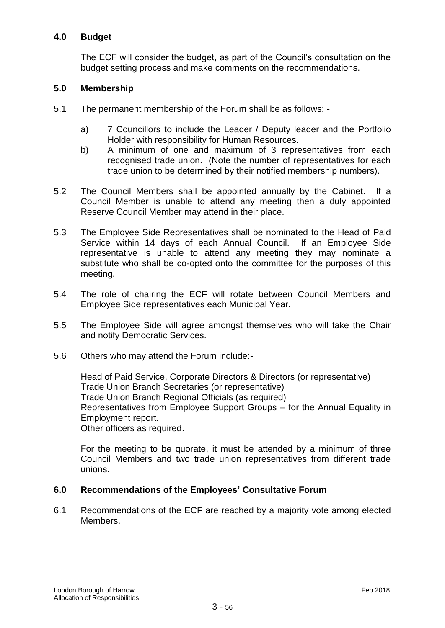# **4.0 Budget**

The ECF will consider the budget, as part of the Council's consultation on the budget setting process and make comments on the recommendations.

# **5.0 Membership**

- 5.1 The permanent membership of the Forum shall be as follows:
	- a) 7 Councillors to include the Leader / Deputy leader and the Portfolio Holder with responsibility for Human Resources.
	- b) A minimum of one and maximum of 3 representatives from each recognised trade union. (Note the number of representatives for each trade union to be determined by their notified membership numbers).
- 5.2 The Council Members shall be appointed annually by the Cabinet. If a Council Member is unable to attend any meeting then a duly appointed Reserve Council Member may attend in their place.
- 5.3 The Employee Side Representatives shall be nominated to the Head of Paid Service within 14 days of each Annual Council. If an Employee Side representative is unable to attend any meeting they may nominate a substitute who shall be co-opted onto the committee for the purposes of this meeting.
- 5.4 The role of chairing the ECF will rotate between Council Members and Employee Side representatives each Municipal Year.
- 5.5 The Employee Side will agree amongst themselves who will take the Chair and notify Democratic Services.
- 5.6 Others who may attend the Forum include:-

Head of Paid Service, Corporate Directors & Directors (or representative) Trade Union Branch Secretaries (or representative) Trade Union Branch Regional Officials (as required) Representatives from Employee Support Groups – for the Annual Equality in Employment report. Other officers as required.

For the meeting to be quorate, it must be attended by a minimum of three Council Members and two trade union representatives from different trade unions.

# **6.0 Recommendations of the Employees' Consultative Forum**

6.1 Recommendations of the ECF are reached by a majority vote among elected Members.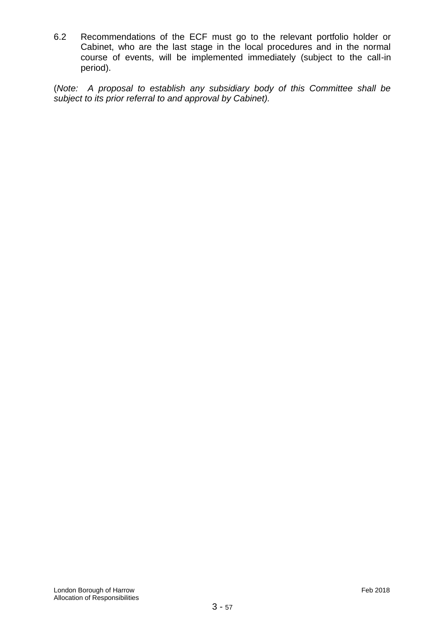6.2 Recommendations of the ECF must go to the relevant portfolio holder or Cabinet, who are the last stage in the local procedures and in the normal course of events, will be implemented immediately (subject to the call-in period).

(*Note: A proposal to establish any subsidiary body of this Committee shall be subject to its prior referral to and approval by Cabinet).*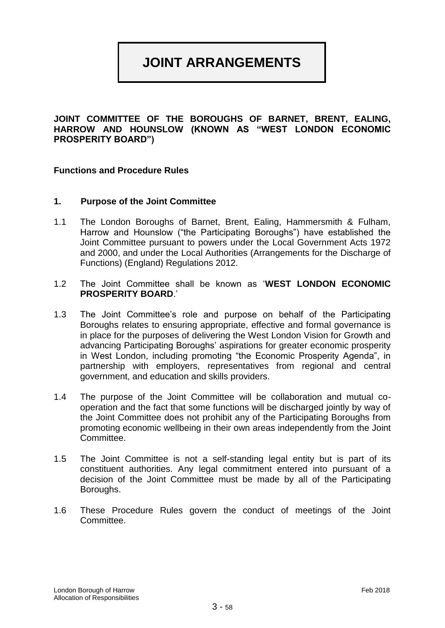# **JOINT ARRANGEMENTS**

**JOINT COMMITTEE OF THE BOROUGHS OF BARNET, BRENT, EALING, HARROW AND HOUNSLOW (KNOWN AS "WEST LONDON ECONOMIC PROSPERITY BOARD")**

#### **Functions and Procedure Rules**

#### **1. Purpose of the Joint Committee**

- 1.1 The London Boroughs of Barnet, Brent, Ealing, Hammersmith & Fulham, Harrow and Hounslow ("the Participating Boroughs") have established the Joint Committee pursuant to powers under the Local Government Acts 1972 and 2000, and under the Local Authorities (Arrangements for the Discharge of Functions) (England) Regulations 2012.
- 1.2 The Joint Committee shall be known as '**WEST LONDON ECONOMIC PROSPERITY BOARD**.'
- 1.3 The Joint Committee's role and purpose on behalf of the Participating Boroughs relates to ensuring appropriate, effective and formal governance is in place for the purposes of delivering the West London Vision for Growth and advancing Participating Boroughs' aspirations for greater economic prosperity in West London, including promoting "the Economic Prosperity Agenda", in partnership with employers, representatives from regional and central government, and education and skills providers.
- 1.4 The purpose of the Joint Committee will be collaboration and mutual cooperation and the fact that some functions will be discharged jointly by way of the Joint Committee does not prohibit any of the Participating Boroughs from promoting economic wellbeing in their own areas independently from the Joint Committee.
- 1.5 The Joint Committee is not a self-standing legal entity but is part of its constituent authorities. Any legal commitment entered into pursuant of a decision of the Joint Committee must be made by all of the Participating Boroughs.
- 1.6 These Procedure Rules govern the conduct of meetings of the Joint Committee.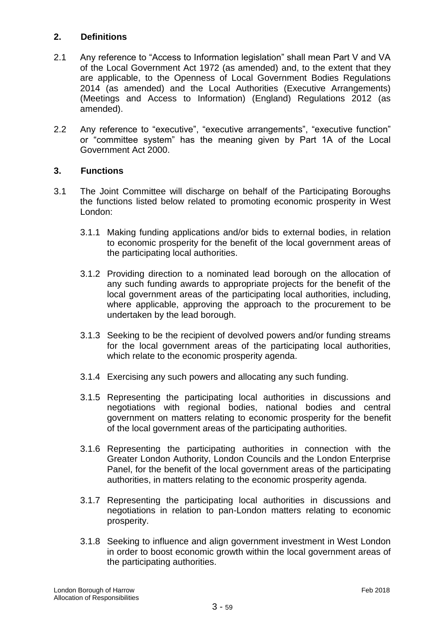# **2. Definitions**

- 2.1 Any reference to "Access to Information legislation" shall mean Part V and VA of the Local Government Act 1972 (as amended) and, to the extent that they are applicable, to the Openness of Local Government Bodies Regulations 2014 (as amended) and the Local Authorities (Executive Arrangements) (Meetings and Access to Information) (England) Regulations 2012 (as amended).
- 2.2 Any reference to "executive", "executive arrangements", "executive function" or "committee system" has the meaning given by Part 1A of the Local Government Act 2000.

# **3. Functions**

- 3.1 The Joint Committee will discharge on behalf of the Participating Boroughs the functions listed below related to promoting economic prosperity in West London:
	- 3.1.1 Making funding applications and/or bids to external bodies, in relation to economic prosperity for the benefit of the local government areas of the participating local authorities.
	- 3.1.2 Providing direction to a nominated lead borough on the allocation of any such funding awards to appropriate projects for the benefit of the local government areas of the participating local authorities, including, where applicable, approving the approach to the procurement to be undertaken by the lead borough.
	- 3.1.3 Seeking to be the recipient of devolved powers and/or funding streams for the local government areas of the participating local authorities, which relate to the economic prosperity agenda.
	- 3.1.4 Exercising any such powers and allocating any such funding.
	- 3.1.5 Representing the participating local authorities in discussions and negotiations with regional bodies, national bodies and central government on matters relating to economic prosperity for the benefit of the local government areas of the participating authorities.
	- 3.1.6 Representing the participating authorities in connection with the Greater London Authority, London Councils and the London Enterprise Panel, for the benefit of the local government areas of the participating authorities, in matters relating to the economic prosperity agenda.
	- 3.1.7 Representing the participating local authorities in discussions and negotiations in relation to pan-London matters relating to economic prosperity.
	- 3.1.8 Seeking to influence and align government investment in West London in order to boost economic growth within the local government areas of the participating authorities.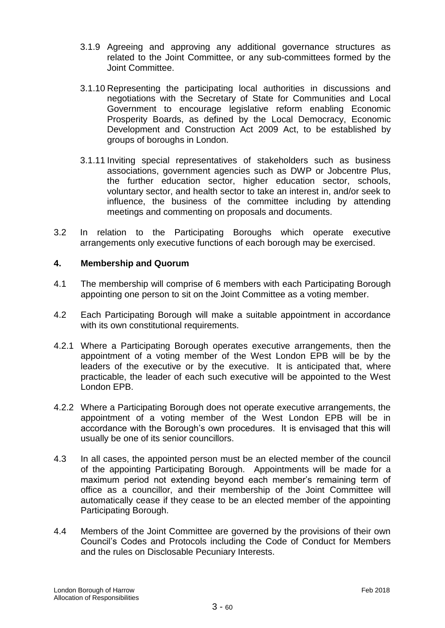- 3.1.9 Agreeing and approving any additional governance structures as related to the Joint Committee, or any sub-committees formed by the Joint Committee.
- 3.1.10 Representing the participating local authorities in discussions and negotiations with the Secretary of State for Communities and Local Government to encourage legislative reform enabling Economic Prosperity Boards, as defined by the Local Democracy, Economic Development and Construction Act 2009 Act, to be established by groups of boroughs in London.
- 3.1.11 Inviting special representatives of stakeholders such as business associations, government agencies such as DWP or Jobcentre Plus, the further education sector, higher education sector, schools, voluntary sector, and health sector to take an interest in, and/or seek to influence, the business of the committee including by attending meetings and commenting on proposals and documents.
- 3.2 In relation to the Participating Boroughs which operate executive arrangements only executive functions of each borough may be exercised.

# **4. Membership and Quorum**

- 4.1 The membership will comprise of 6 members with each Participating Borough appointing one person to sit on the Joint Committee as a voting member.
- 4.2 Each Participating Borough will make a suitable appointment in accordance with its own constitutional requirements.
- 4.2.1 Where a Participating Borough operates executive arrangements, then the appointment of a voting member of the West London EPB will be by the leaders of the executive or by the executive. It is anticipated that, where practicable, the leader of each such executive will be appointed to the West London EPB.
- 4.2.2 Where a Participating Borough does not operate executive arrangements, the appointment of a voting member of the West London EPB will be in accordance with the Borough's own procedures. It is envisaged that this will usually be one of its senior councillors.
- 4.3 In all cases, the appointed person must be an elected member of the council of the appointing Participating Borough. Appointments will be made for a maximum period not extending beyond each member's remaining term of office as a councillor, and their membership of the Joint Committee will automatically cease if they cease to be an elected member of the appointing Participating Borough.
- 4.4 Members of the Joint Committee are governed by the provisions of their own Council's Codes and Protocols including the Code of Conduct for Members and the rules on Disclosable Pecuniary Interests.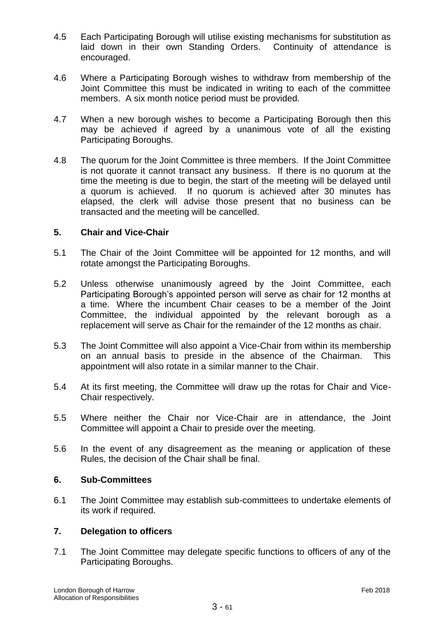- 4.5 Each Participating Borough will utilise existing mechanisms for substitution as laid down in their own Standing Orders. Continuity of attendance is encouraged.
- 4.6 Where a Participating Borough wishes to withdraw from membership of the Joint Committee this must be indicated in writing to each of the committee members. A six month notice period must be provided.
- 4.7 When a new borough wishes to become a Participating Borough then this may be achieved if agreed by a unanimous vote of all the existing Participating Boroughs.
- 4.8 The quorum for the Joint Committee is three members. If the Joint Committee is not quorate it cannot transact any business. If there is no quorum at the time the meeting is due to begin, the start of the meeting will be delayed until a quorum is achieved. If no quorum is achieved after 30 minutes has elapsed, the clerk will advise those present that no business can be transacted and the meeting will be cancelled.

# **5. Chair and Vice-Chair**

- 5.1 The Chair of the Joint Committee will be appointed for 12 months, and will rotate amongst the Participating Boroughs.
- 5.2 Unless otherwise unanimously agreed by the Joint Committee, each Participating Borough's appointed person will serve as chair for 12 months at a time. Where the incumbent Chair ceases to be a member of the Joint Committee, the individual appointed by the relevant borough as a replacement will serve as Chair for the remainder of the 12 months as chair.
- 5.3 The Joint Committee will also appoint a Vice-Chair from within its membership on an annual basis to preside in the absence of the Chairman. This appointment will also rotate in a similar manner to the Chair.
- 5.4 At its first meeting, the Committee will draw up the rotas for Chair and Vice-Chair respectively.
- 5.5 Where neither the Chair nor Vice-Chair are in attendance, the Joint Committee will appoint a Chair to preside over the meeting.
- 5.6 In the event of any disagreement as the meaning or application of these Rules, the decision of the Chair shall be final.

#### **6. Sub-Committees**

6.1 The Joint Committee may establish sub-committees to undertake elements of its work if required.

# **7. Delegation to officers**

7.1 The Joint Committee may delegate specific functions to officers of any of the Participating Boroughs.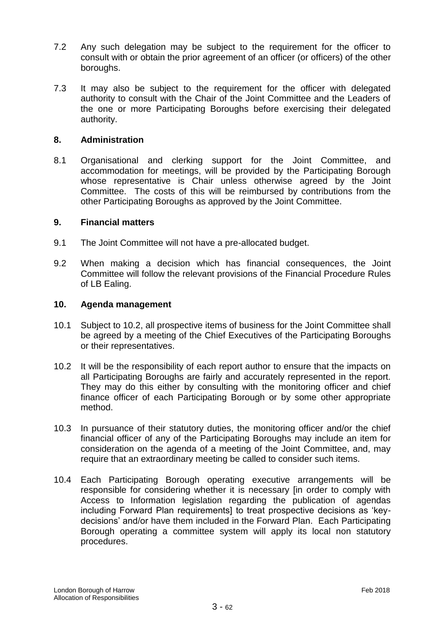- 7.2 Any such delegation may be subject to the requirement for the officer to consult with or obtain the prior agreement of an officer (or officers) of the other boroughs.
- 7.3 It may also be subject to the requirement for the officer with delegated authority to consult with the Chair of the Joint Committee and the Leaders of the one or more Participating Boroughs before exercising their delegated authority.

### **8. Administration**

8.1 Organisational and clerking support for the Joint Committee, and accommodation for meetings, will be provided by the Participating Borough whose representative is Chair unless otherwise agreed by the Joint Committee. The costs of this will be reimbursed by contributions from the other Participating Boroughs as approved by the Joint Committee.

#### **9. Financial matters**

- 9.1 The Joint Committee will not have a pre-allocated budget.
- 9.2 When making a decision which has financial consequences, the Joint Committee will follow the relevant provisions of the Financial Procedure Rules of LB Ealing.

#### **10. Agenda management**

- 10.1 Subject to 10.2, all prospective items of business for the Joint Committee shall be agreed by a meeting of the Chief Executives of the Participating Boroughs or their representatives.
- 10.2 It will be the responsibility of each report author to ensure that the impacts on all Participating Boroughs are fairly and accurately represented in the report. They may do this either by consulting with the monitoring officer and chief finance officer of each Participating Borough or by some other appropriate method.
- 10.3 In pursuance of their statutory duties, the monitoring officer and/or the chief financial officer of any of the Participating Boroughs may include an item for consideration on the agenda of a meeting of the Joint Committee, and, may require that an extraordinary meeting be called to consider such items.
- 10.4 Each Participating Borough operating executive arrangements will be responsible for considering whether it is necessary [in order to comply with Access to Information legislation regarding the publication of agendas including Forward Plan requirements] to treat prospective decisions as 'keydecisions' and/or have them included in the Forward Plan. Each Participating Borough operating a committee system will apply its local non statutory procedures.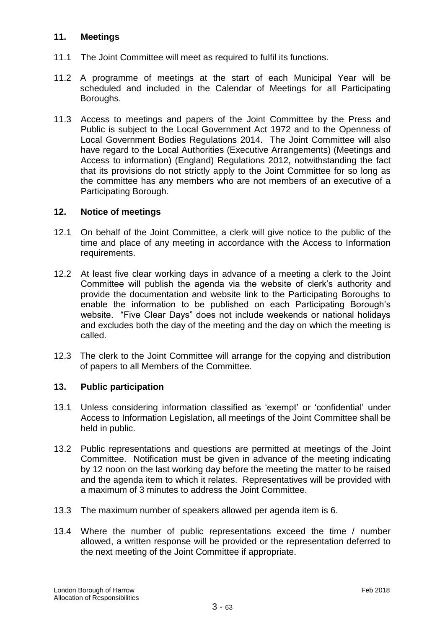# **11. Meetings**

- 11.1 The Joint Committee will meet as required to fulfil its functions.
- 11.2 A programme of meetings at the start of each Municipal Year will be scheduled and included in the Calendar of Meetings for all Participating Boroughs.
- 11.3 Access to meetings and papers of the Joint Committee by the Press and Public is subject to the Local Government Act 1972 and to the Openness of Local Government Bodies Regulations 2014. The Joint Committee will also have regard to the Local Authorities (Executive Arrangements) (Meetings and Access to information) (England) Regulations 2012, notwithstanding the fact that its provisions do not strictly apply to the Joint Committee for so long as the committee has any members who are not members of an executive of a Participating Borough.

# **12. Notice of meetings**

- 12.1 On behalf of the Joint Committee, a clerk will give notice to the public of the time and place of any meeting in accordance with the Access to Information requirements.
- 12.2 At least five clear working days in advance of a meeting a clerk to the Joint Committee will publish the agenda via the website of clerk's authority and provide the documentation and website link to the Participating Boroughs to enable the information to be published on each Participating Borough's website. "Five Clear Days" does not include weekends or national holidays and excludes both the day of the meeting and the day on which the meeting is called.
- 12.3 The clerk to the Joint Committee will arrange for the copying and distribution of papers to all Members of the Committee.

# **13. Public participation**

- 13.1 Unless considering information classified as 'exempt' or 'confidential' under Access to Information Legislation, all meetings of the Joint Committee shall be held in public.
- 13.2 Public representations and questions are permitted at meetings of the Joint Committee. Notification must be given in advance of the meeting indicating by 12 noon on the last working day before the meeting the matter to be raised and the agenda item to which it relates. Representatives will be provided with a maximum of 3 minutes to address the Joint Committee.
- 13.3 The maximum number of speakers allowed per agenda item is 6.
- 13.4 Where the number of public representations exceed the time / number allowed, a written response will be provided or the representation deferred to the next meeting of the Joint Committee if appropriate.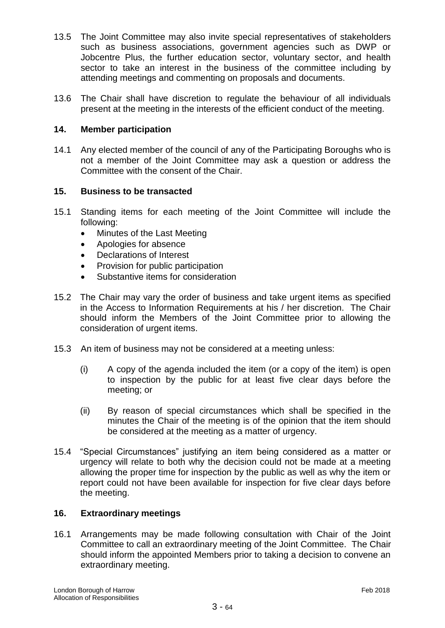- 13.5 The Joint Committee may also invite special representatives of stakeholders such as business associations, government agencies such as DWP or Jobcentre Plus, the further education sector, voluntary sector, and health sector to take an interest in the business of the committee including by attending meetings and commenting on proposals and documents.
- 13.6 The Chair shall have discretion to regulate the behaviour of all individuals present at the meeting in the interests of the efficient conduct of the meeting.

### **14. Member participation**

14.1 Any elected member of the council of any of the Participating Boroughs who is not a member of the Joint Committee may ask a question or address the Committee with the consent of the Chair.

# **15. Business to be transacted**

- 15.1 Standing items for each meeting of the Joint Committee will include the following:
	- Minutes of the Last Meeting
	- Apologies for absence
	- Declarations of Interest
	- Provision for public participation
	- Substantive items for consideration
- 15.2 The Chair may vary the order of business and take urgent items as specified in the Access to Information Requirements at his / her discretion. The Chair should inform the Members of the Joint Committee prior to allowing the consideration of urgent items.
- 15.3 An item of business may not be considered at a meeting unless:
	- (i) A copy of the agenda included the item (or a copy of the item) is open to inspection by the public for at least five clear days before the meeting; or
	- (ii) By reason of special circumstances which shall be specified in the minutes the Chair of the meeting is of the opinion that the item should be considered at the meeting as a matter of urgency.
- 15.4 "Special Circumstances" justifying an item being considered as a matter or urgency will relate to both why the decision could not be made at a meeting allowing the proper time for inspection by the public as well as why the item or report could not have been available for inspection for five clear days before the meeting.

# **16. Extraordinary meetings**

16.1 Arrangements may be made following consultation with Chair of the Joint Committee to call an extraordinary meeting of the Joint Committee. The Chair should inform the appointed Members prior to taking a decision to convene an extraordinary meeting.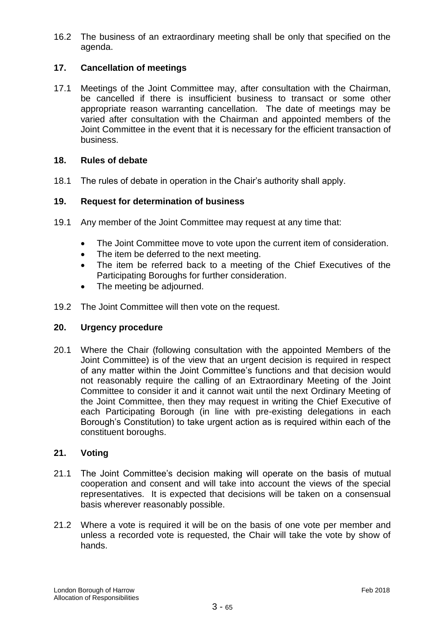16.2 The business of an extraordinary meeting shall be only that specified on the agenda.

# **17. Cancellation of meetings**

17.1 Meetings of the Joint Committee may, after consultation with the Chairman, be cancelled if there is insufficient business to transact or some other appropriate reason warranting cancellation. The date of meetings may be varied after consultation with the Chairman and appointed members of the Joint Committee in the event that it is necessary for the efficient transaction of business.

# **18. Rules of debate**

18.1 The rules of debate in operation in the Chair's authority shall apply.

#### **19. Request for determination of business**

- 19.1 Any member of the Joint Committee may request at any time that:
	- The Joint Committee move to vote upon the current item of consideration.
	- The item be deferred to the next meeting.
	- The item be referred back to a meeting of the Chief Executives of the Participating Boroughs for further consideration.
	- The meeting be adjourned.
- 19.2 The Joint Committee will then vote on the request.

#### **20. Urgency procedure**

20.1 Where the Chair (following consultation with the appointed Members of the Joint Committee) is of the view that an urgent decision is required in respect of any matter within the Joint Committee's functions and that decision would not reasonably require the calling of an Extraordinary Meeting of the Joint Committee to consider it and it cannot wait until the next Ordinary Meeting of the Joint Committee, then they may request in writing the Chief Executive of each Participating Borough (in line with pre-existing delegations in each Borough's Constitution) to take urgent action as is required within each of the constituent boroughs.

# **21. Voting**

- 21.1 The Joint Committee's decision making will operate on the basis of mutual cooperation and consent and will take into account the views of the special representatives. It is expected that decisions will be taken on a consensual basis wherever reasonably possible.
- 21.2 Where a vote is required it will be on the basis of one vote per member and unless a recorded vote is requested, the Chair will take the vote by show of hands.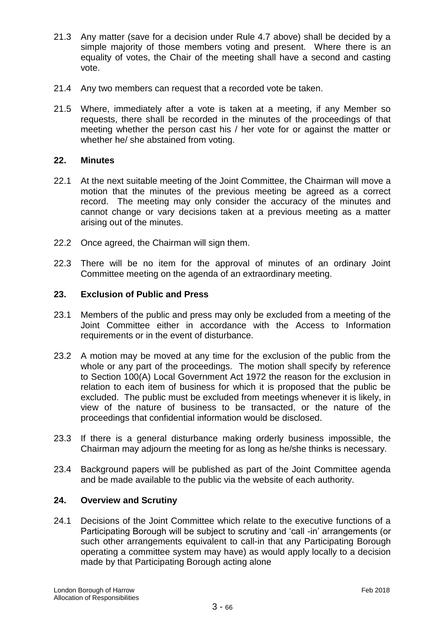- 21.3 Any matter (save for a decision under Rule 4.7 above) shall be decided by a simple majority of those members voting and present. Where there is an equality of votes, the Chair of the meeting shall have a second and casting vote.
- 21.4 Any two members can request that a recorded vote be taken.
- 21.5 Where, immediately after a vote is taken at a meeting, if any Member so requests, there shall be recorded in the minutes of the proceedings of that meeting whether the person cast his / her vote for or against the matter or whether he/ she abstained from voting.

# **22. Minutes**

- 22.1 At the next suitable meeting of the Joint Committee, the Chairman will move a motion that the minutes of the previous meeting be agreed as a correct record. The meeting may only consider the accuracy of the minutes and cannot change or vary decisions taken at a previous meeting as a matter arising out of the minutes.
- 22.2 Once agreed, the Chairman will sign them.
- 22.3 There will be no item for the approval of minutes of an ordinary Joint Committee meeting on the agenda of an extraordinary meeting.

#### **23. Exclusion of Public and Press**

- 23.1 Members of the public and press may only be excluded from a meeting of the Joint Committee either in accordance with the Access to Information requirements or in the event of disturbance.
- 23.2 A motion may be moved at any time for the exclusion of the public from the whole or any part of the proceedings. The motion shall specify by reference to Section 100(A) Local Government Act 1972 the reason for the exclusion in relation to each item of business for which it is proposed that the public be excluded. The public must be excluded from meetings whenever it is likely, in view of the nature of business to be transacted, or the nature of the proceedings that confidential information would be disclosed.
- 23.3 If there is a general disturbance making orderly business impossible, the Chairman may adjourn the meeting for as long as he/she thinks is necessary.
- 23.4 Background papers will be published as part of the Joint Committee agenda and be made available to the public via the website of each authority.

#### **24. Overview and Scrutiny**

24.1 Decisions of the Joint Committee which relate to the executive functions of a Participating Borough will be subject to scrutiny and 'call -in' arrangements (or such other arrangements equivalent to call-in that any Participating Borough operating a committee system may have) as would apply locally to a decision made by that Participating Borough acting alone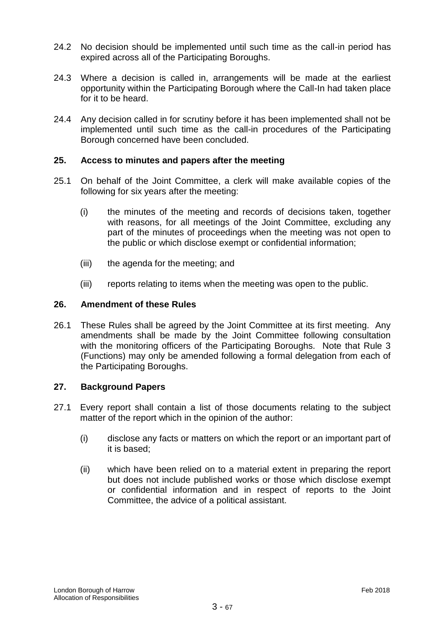- 24.2 No decision should be implemented until such time as the call-in period has expired across all of the Participating Boroughs.
- 24.3 Where a decision is called in, arrangements will be made at the earliest opportunity within the Participating Borough where the Call-In had taken place for it to be heard.
- 24.4 Any decision called in for scrutiny before it has been implemented shall not be implemented until such time as the call-in procedures of the Participating Borough concerned have been concluded.

# **25. Access to minutes and papers after the meeting**

- 25.1 On behalf of the Joint Committee, a clerk will make available copies of the following for six years after the meeting:
	- (i) the minutes of the meeting and records of decisions taken, together with reasons, for all meetings of the Joint Committee, excluding any part of the minutes of proceedings when the meeting was not open to the public or which disclose exempt or confidential information;
	- (iii) the agenda for the meeting; and
	- (iii) reports relating to items when the meeting was open to the public.

# **26. Amendment of these Rules**

26.1 These Rules shall be agreed by the Joint Committee at its first meeting. Any amendments shall be made by the Joint Committee following consultation with the monitoring officers of the Participating Boroughs. Note that Rule 3 (Functions) may only be amended following a formal delegation from each of the Participating Boroughs.

# **27. Background Papers**

- 27.1 Every report shall contain a list of those documents relating to the subject matter of the report which in the opinion of the author:
	- (i) disclose any facts or matters on which the report or an important part of it is based;
	- (ii) which have been relied on to a material extent in preparing the report but does not include published works or those which disclose exempt or confidential information and in respect of reports to the Joint Committee, the advice of a political assistant.